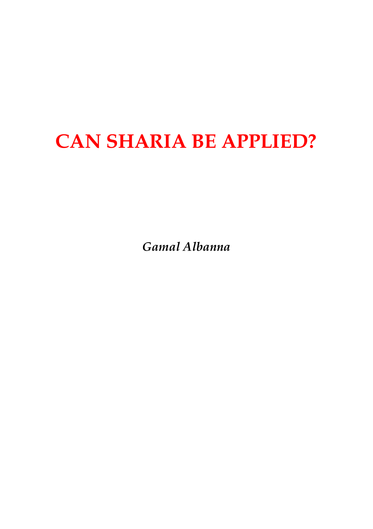## **CAN SHARIA BE APPLIED?**

*Gamal Albanna*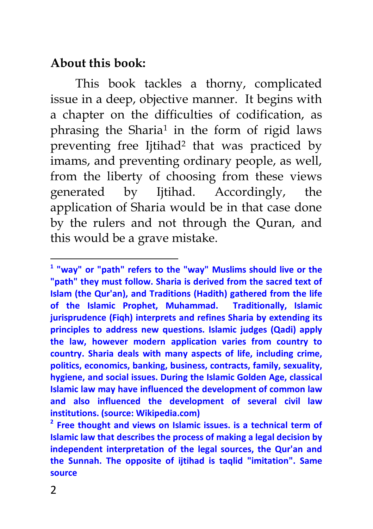### **About this book:**

This book tackles a thorny, complicated issue in a deep, objective manner. It begins with a chapter on the difficulties of codification, as phrasing the Sharia<sup>1</sup> in the form of rigid laws preventing free Ijtihad<sup>2</sup> that was practiced by imams, and preventing ordinary people, as well, from the liberty of choosing from these views generated by Ijtihad. Accordingly, the application of Sharia would be in that case done by the rulers and not through the Quran, and this would be a grave mistake.

**<sup>1</sup> "way" or "path" refers to the "way" Muslims should live or the "path" they must follow. Sharia is derived from the sacred text of Islam (the Qur'an), and Traditions (Hadith) gathered from the life of the Islamic Prophet, Muhammad. Traditionally, Islamic jurisprudence (Fiqh) interprets and refines Sharia by extending its principles to address new questions. Islamic judges (Qadi) apply the law, however modern application varies from country to country. Sharia deals with many aspects of life, including crime, politics, economics, banking, business, contracts, family, sexuality, hygiene, and social issues. During the Islamic Golden Age, classical Islamic law may have influenced the development of common law and also influenced the development of several civil law institutions. (source: Wikipedia.com)**

**<sup>2</sup> Free thought and views on Islamic issues. is a technical term of Islamic law that describes the process of making a legal decision by independent interpretation of the legal sources, the Qur'an and the Sunnah. The opposite of ijtihad is taqlid "imitation". Same source**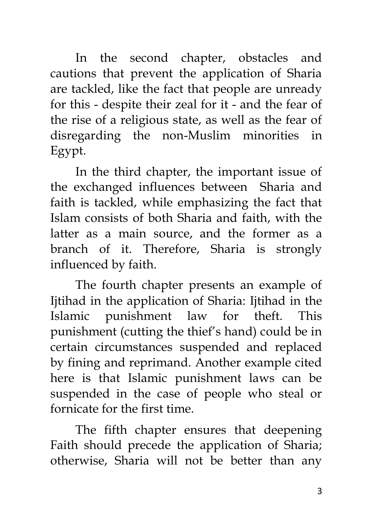In the second chapter, obstacles and cautions that prevent the application of Sharia are tackled, like the fact that people are unready for this - despite their zeal for it - and the fear of the rise of a religious state, as well as the fear of disregarding the non-Muslim minorities in Egypt.

In the third chapter, the important issue of the exchanged influences between Sharia and faith is tackled, while emphasizing the fact that Islam consists of both Sharia and faith, with the latter as a main source, and the former as a branch of it. Therefore, Sharia is strongly influenced by faith.

The fourth chapter presents an example of Ijtihad in the application of Sharia: Ijtihad in the Islamic punishment law for theft. This punishment (cutting the thief's hand) could be in certain circumstances suspended and replaced by fining and reprimand. Another example cited here is that Islamic punishment laws can be suspended in the case of people who steal or fornicate for the first time.

The fifth chapter ensures that deepening Faith should precede the application of Sharia; otherwise, Sharia will not be better than any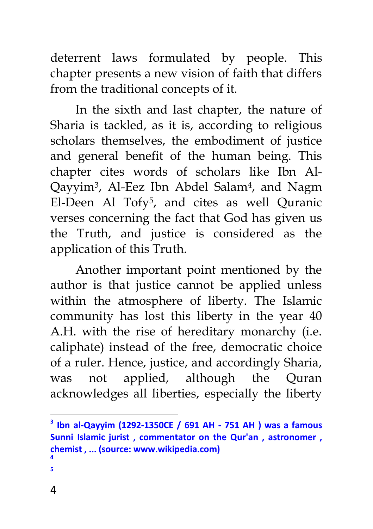deterrent laws formulated by people. This chapter presents a new vision of faith that differs from the traditional concepts of it.

In the sixth and last chapter, the nature of Sharia is tackled, as it is, according to religious scholars themselves, the embodiment of justice and general benefit of the human being. This chapter cites words of scholars like Ibn Al-Qayyim<sup>3</sup>, Al-Eez Ibn Abdel Salam<sup>4</sup>, and Nagm El-Deen Al Tofy<sup>5</sup> , and cites as well Quranic verses concerning the fact that God has given us the Truth, and justice is considered as the application of this Truth.

Another important point mentioned by the author is that justice cannot be applied unless within the atmosphere of liberty. The Islamic community has lost this liberty in the year 40 A.H. with the rise of hereditary monarchy (i.e. caliphate) instead of the free, democratic choice of a ruler. Hence, justice, and accordingly Sharia, was not applied, although the Quran acknowledges all liberties, especially the liberty

**5**

**<sup>3</sup> Ibn al-Qayyim (1292-1350CE / 691 AH - 751 AH ) was a famous Sunni Islamic jurist , commentator on the Qur'an , astronomer , chemist , ... (source: www.wikipedia.com) 4**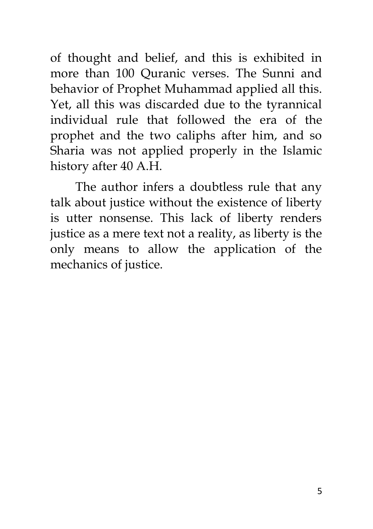of thought and belief, and this is exhibited in more than 100 Quranic verses. The Sunni and behavior of Prophet Muhammad applied all this. Yet, all this was discarded due to the tyrannical individual rule that followed the era of the prophet and the two caliphs after him, and so Sharia was not applied properly in the Islamic history after 40 A.H.

The author infers a doubtless rule that any talk about justice without the existence of liberty is utter nonsense. This lack of liberty renders justice as a mere text not a reality, as liberty is the only means to allow the application of the mechanics of justice.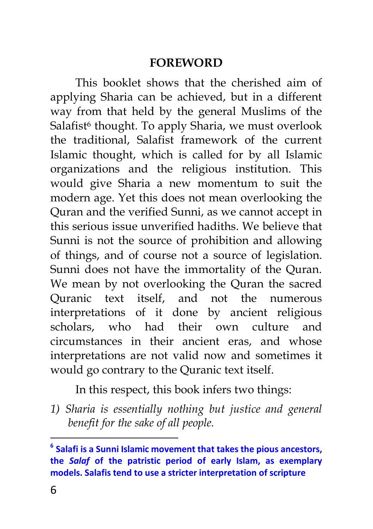#### **FOREWORD**

This booklet shows that the cherished aim of applying Sharia can be achieved, but in a different way from that held by the general Muslims of the Salafist<sup>6</sup> thought. To apply Sharia, we must overlook the traditional, Salafist framework of the current Islamic thought, which is called for by all Islamic organizations and the religious institution. This would give Sharia a new momentum to suit the modern age. Yet this does not mean overlooking the Quran and the verified Sunni, as we cannot accept in this serious issue unverified hadiths. We believe that Sunni is not the source of prohibition and allowing of things, and of course not a source of legislation. Sunni does not have the immortality of the Quran. We mean by not overlooking the Quran the sacred Quranic text itself, and not the numerous interpretations of it done by ancient religious scholars, who had their own culture and circumstances in their ancient eras, and whose interpretations are not valid now and sometimes it would go contrary to the Quranic text itself.

In this respect, this book infers two things:

*1) Sharia is essentially nothing but justice and general benefit for the sake of all people.*

**<sup>6</sup> Salafi is a Sunni Islamic movement that takes the pious ancestors, the** *Salaf* **of the patristic period of early Islam, as exemplary models. Salafis tend to use a stricter interpretation of scripture**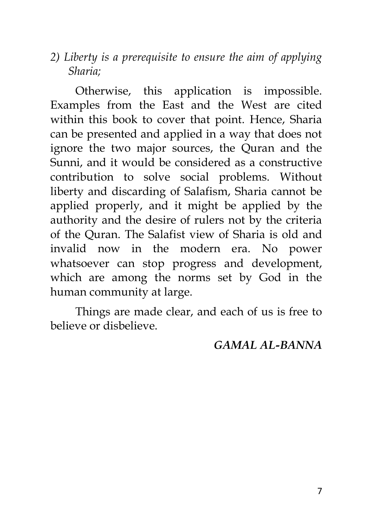*2) Liberty is a prerequisite to ensure the aim of applying Sharia;*

Otherwise, this application is impossible. Examples from the East and the West are cited within this book to cover that point. Hence, Sharia can be presented and applied in a way that does not ignore the two major sources, the Quran and the Sunni, and it would be considered as a constructive contribution to solve social problems. Without liberty and discarding of Salafism, Sharia cannot be applied properly, and it might be applied by the authority and the desire of rulers not by the criteria of the Quran. The Salafist view of Sharia is old and invalid now in the modern era. No power whatsoever can stop progress and development, which are among the norms set by God in the human community at large.

Things are made clear, and each of us is free to believe or disbelieve.

#### *GAMAL AL-BANNA*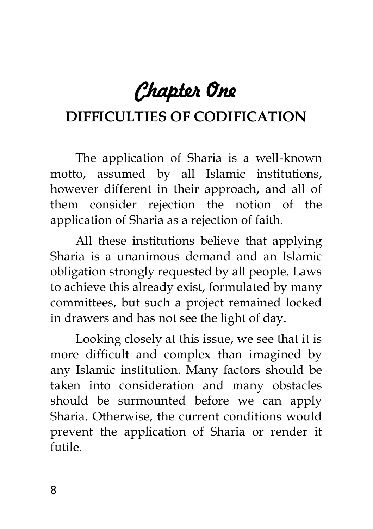# *Chapter One*

## **DIFFICULTIES OF CODIFICATION**

The application of Sharia is a well-known motto, assumed by all Islamic institutions, however different in their approach, and all of them consider rejection the notion of the application of Sharia as a rejection of faith.

All these institutions believe that applying Sharia is a unanimous demand and an Islamic obligation strongly requested by all people. Laws to achieve this already exist, formulated by many committees, but such a project remained locked in drawers and has not see the light of day.

Looking closely at this issue, we see that it is more difficult and complex than imagined by any Islamic institution. Many factors should be taken into consideration and many obstacles should be surmounted before we can apply Sharia. Otherwise, the current conditions would prevent the application of Sharia or render it futile.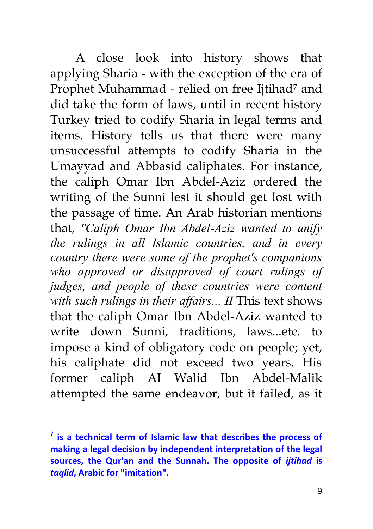A close look into history shows that applying Sharia - with the exception of the era of Prophet Muhammad - relied on free Ijtihad<sup>7</sup> and did take the form of laws, until in recent history Turkey tried to codify Sharia in legal terms and items. History tells us that there were many unsuccessful attempts to codify Sharia in the Umayyad and Abbasid caliphates. For instance, the caliph Omar Ibn Abdel-Aziz ordered the writing of the Sunni lest it should get lost with the passage of time. An Arab historian mentions that, *"Caliph Omar Ibn Abdel-Aziz wanted to unify the rulings in all Islamic countries, and in every country there were some of the prophet's companions who approved or disapproved of court rulings of judges, and people of these countries were content with such rulings in their affairs... II* This text shows that the caliph Omar Ibn Abdel-Aziz wanted to write down Sunni, traditions, laws...etc. to impose a kind of obligatory code on people; yet, his caliphate did not exceed two years. His former caliph AI Walid Ibn Abdel-Malik attempted the same endeavor, but it failed, as it

 **7 is a technical term of Islamic law that describes the process of making a legal decision by independent interpretation of the legal sources, the Qur'an and the Sunnah. The opposite of** *ijtihad* **is**  *taqlid***, Arabic for "imitation".**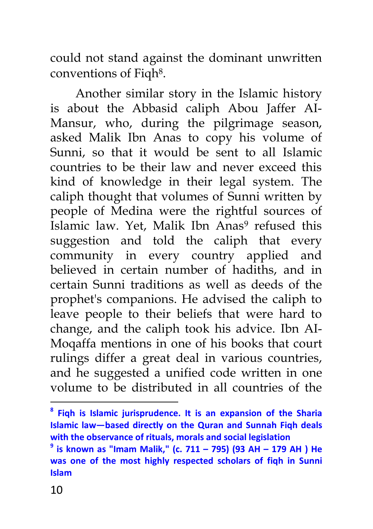could not stand against the dominant unwritten conventions of Fiqh<sup>8</sup>.

Another similar story in the Islamic history is about the Abbasid caliph Abou Jaffer AI-Mansur, who, during the pilgrimage season, asked Malik Ibn Anas to copy his volume of Sunni, so that it would be sent to all Islamic countries to be their law and never exceed this kind of knowledge in their legal system. The caliph thought that volumes of Sunni written by people of Medina were the rightful sources of Islamic law. Yet, Malik Ibn Anas<sup>9</sup> refused this suggestion and told the caliph that every community in every country applied and believed in certain number of hadiths, and in certain Sunni traditions as well as deeds of the prophet's companions. He advised the caliph to leave people to their beliefs that were hard to change, and the caliph took his advice. Ibn AI-Moqaffa mentions in one of his books that court rulings differ a great deal in various countries, and he suggested a unified code written in one volume to be distributed in all countries of the

**<sup>8</sup> Fiqh is Islamic jurisprudence. It is an expansion of the Sharia Islamic law—based directly on the Quran and Sunnah Fiqh deals with the observance of rituals, morals and social legislation** 

**<sup>9</sup> is known as "Imam Malik," (c. 711 – 795) (93 AH – 179 AH ) He was one of the most highly respected scholars of fiqh in Sunni Islam**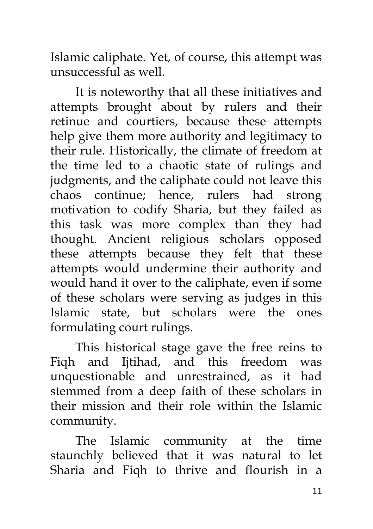Islamic caliphate. Yet, of course, this attempt was unsuccessful as well.

It is noteworthy that all these initiatives and attempts brought about by rulers and their retinue and courtiers, because these attempts help give them more authority and legitimacy to their rule. Historically, the climate of freedom at the time led to a chaotic state of rulings and judgments, and the caliphate could not leave this chaos continue; hence, rulers had strong motivation to codify Sharia, but they failed as this task was more complex than they had thought. Ancient religious scholars opposed these attempts because they felt that these attempts would undermine their authority and would hand it over to the caliphate, even if some of these scholars were serving as judges in this Islamic state, but scholars were the ones formulating court rulings.

This historical stage gave the free reins to Fiqh and Ijtihad, and this freedom was unquestionable and unrestrained, as it had stemmed from a deep faith of these scholars in their mission and their role within the Islamic community.

The Islamic community at the time staunchly believed that it was natural to let Sharia and Fiqh to thrive and flourish in a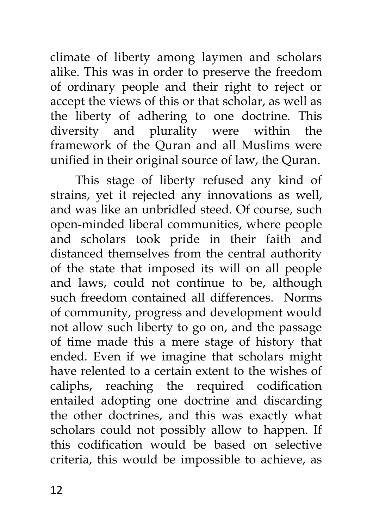climate of liberty among laymen and scholars alike. This was in order to preserve the freedom of ordinary people and their right to reject or accept the views of this or that scholar, as well as the liberty of adhering to one doctrine. This diversity and plurality were within the framework of the Quran and all Muslims were unified in their original source of law, the Quran.

This stage of liberty refused any kind of strains, yet it rejected any innovations as well, and was like an unbridled steed. Of course, such open-minded liberal communities, where people and scholars took pride in their faith and distanced themselves from the central authority of the state that imposed its will on all people and laws, could not continue to be, although such freedom contained all differences. Norms of community, progress and development would not allow such liberty to go on, and the passage of time made this a mere stage of history that ended. Even if we imagine that scholars might have relented to a certain extent to the wishes of caliphs, reaching the required codification entailed adopting one doctrine and discarding the other doctrines, and this was exactly what scholars could not possibly allow to happen. If this codification would be based on selective criteria, this would be impossible to achieve, as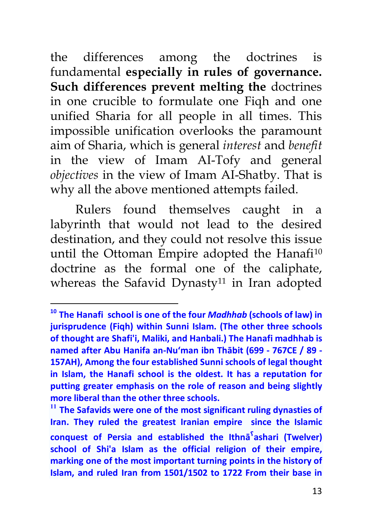the differences among the doctrines is fundamental **especially in rules of governance. Such differences prevent melting the** doctrines in one crucible to formulate one Fiqh and one unified Sharia for all people in all times. This impossible unification overlooks the paramount aim of Sharia, which is general *interest* and *benefit*  in the view of Imam AI-Tofy and general *objectives* in the view of Imam AI-Shatby. That is why all the above mentioned attempts failed.

Rulers found themselves caught in a labyrinth that would not lead to the desired destination, and they could not resolve this issue until the Ottoman Empire adopted the Hanafi<sup>10</sup> doctrine as the formal one of the caliphate, whereas the Safavid Dynasty<sup>11</sup> in Iran adopted

 $\overline{\phantom{a}}$ 

**<sup>10</sup> The Hanafi school is one of the four** *Madhhab* **(schools of law) in jurisprudence (Fiqh) within Sunni Islam. (The other three schools of thought are Shafi'i, Maliki, and Hanbali.) The Hanafi madhhab is named after Abu Hanifa an-Nu'man ibn Thābit (699 - 767CE / 89 - 157AH), Among the four established Sunni schools of legal thought in Islam, the Hanafi school is the oldest. It has a reputation for putting greater emphasis on the role of reason and being slightly more liberal than the other three schools.**

**<sup>11</sup> The Safavids were one of the most significant ruling dynasties of Iran. They ruled the greatest Iranian empire since the Islamic conquest of Persia and established the Ithnāˤashari (Twelver) school of Shi'a Islam as the official religion of their empire, marking one of the most important turning points in the history of Islam, and ruled Iran from 1501/1502 to 1722 From their base in**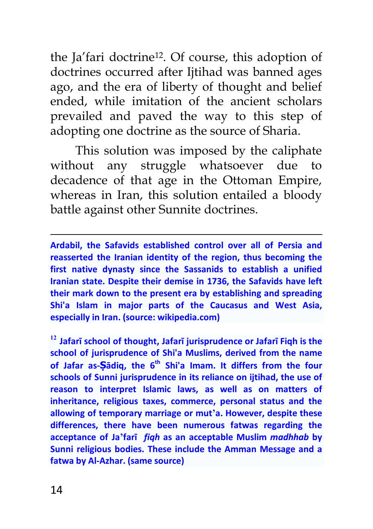the Ja'fari doctrine<sup>12</sup>. Of course, this adoption of doctrines occurred after Ijtihad was banned ages ago, and the era of liberty of thought and belief ended, while imitation of the ancient scholars prevailed and paved the way to this step of adopting one doctrine as the source of Sharia.

This solution was imposed by the caliphate without any struggle whatsoever due to decadence of that age in the Ottoman Empire, whereas in Iran, this solution entailed a bloody battle against other Sunnite doctrines.

**Ardabil, the Safavids established control over all of Persia and reasserted the Iranian identity of the region, thus becoming the first native dynasty since the Sassanids to establish a unified Iranian state. Despite their demise in 1736, the Safavids have left their mark down to the present era by establishing and spreading Shi'a Islam in major parts of the Caucasus and West Asia, especially in Iran. (source: wikipedia.com)**

**<sup>12</sup> Jafarī school of thought, Jafarī jurisprudence or Jafarī Fiqh is the school of jurisprudence of Shi'a Muslims, derived from the name of Jafar as-Ṣādiq, the 6th Shi'a Imam. It differs from the four schools of Sunni jurisprudence in its reliance on ijtihad, the use of reason to interpret Islamic laws, as well as on matters of inheritance, religious taxes, commerce, personal status and the allowing of temporary marriage or mut'a. However, despite these differences, there have been numerous fatwas regarding the acceptance of Ja'farī** *fiqh* **as an acceptable Muslim** *madhhab* **by Sunni religious bodies. These include the Amman Message and a fatwa by Al-Azhar. (same source)**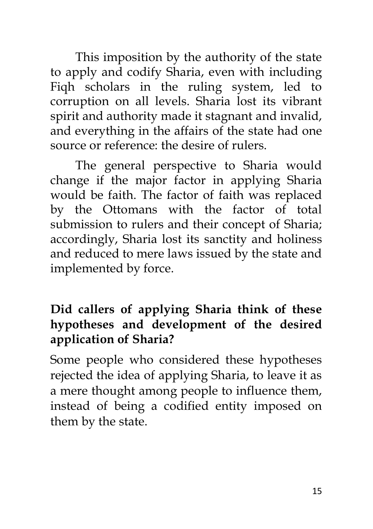This imposition by the authority of the state to apply and codify Sharia, even with including Fiqh scholars in the ruling system, led to corruption on all levels. Sharia lost its vibrant spirit and authority made it stagnant and invalid, and everything in the affairs of the state had one source or reference: the desire of rulers.

The general perspective to Sharia would change if the major factor in applying Sharia would be faith. The factor of faith was replaced by the Ottomans with the factor of total submission to rulers and their concept of Sharia; accordingly, Sharia lost its sanctity and holiness and reduced to mere laws issued by the state and implemented by force.

### **Did callers of applying Sharia think of these hypotheses and development of the desired application of Sharia?**

Some people who considered these hypotheses rejected the idea of applying Sharia, to leave it as a mere thought among people to influence them, instead of being a codified entity imposed on them by the state.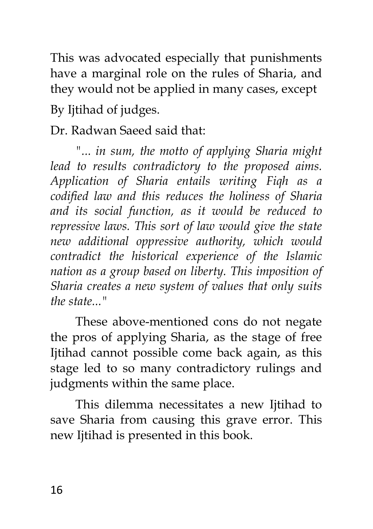This was advocated especially that punishments have a marginal role on the rules of Sharia, and they would not be applied in many cases, except By Ijtihad of judges.

Dr. Radwan Saeed said that:

*"... in sum, the motto of applying Sharia might lead to results contradictory to the proposed aims. Application of Sharia entails writing Fiqh as a codified law and this reduces the holiness of Sharia and its social function, as it would be reduced to repressive laws. This sort of law would give the state new additional oppressive authority, which would contradict the historical experience of the Islamic nation as a group based on liberty. This imposition of Sharia creates a new system of values that only suits the state..."*

These above-mentioned cons do not negate the pros of applying Sharia, as the stage of free Ijtihad cannot possible come back again, as this stage led to so many contradictory rulings and judgments within the same place.

This dilemma necessitates a new Ijtihad to save Sharia from causing this grave error. This new Ijtihad is presented in this book.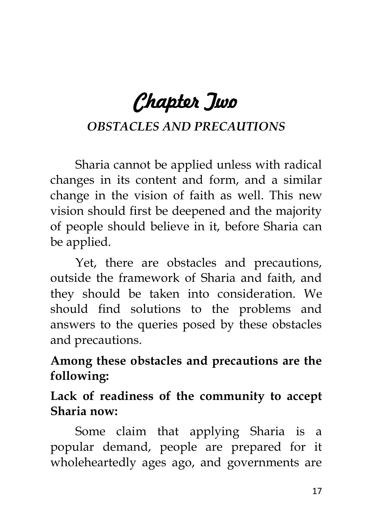# *Chapter Two*

## *OBSTACLES AND PRECAUTIONS*

Sharia cannot be applied unless with radical changes in its content and form, and a similar change in the vision of faith as well. This new vision should first be deepened and the majority of people should believe in it, before Sharia can be applied.

Yet, there are obstacles and precautions, outside the framework of Sharia and faith, and they should be taken into consideration. We should find solutions to the problems and answers to the queries posed by these obstacles and precautions.

**Among these obstacles and precautions are the following:**

**Lack of readiness of the community to accept Sharia now:**

Some claim that applying Sharia is a popular demand, people are prepared for it wholeheartedly ages ago, and governments are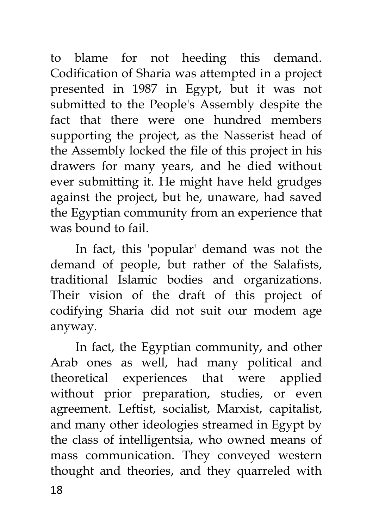to blame for not heeding this demand. Codification of Sharia was attempted in a project presented in 1987 in Egypt, but it was not submitted to the People's Assembly despite the fact that there were one hundred members supporting the project, as the Nasserist head of the Assembly locked the file of this project in his drawers for many years, and he died without ever submitting it. He might have held grudges against the project, but he, unaware, had saved the Egyptian community from an experience that was bound to fail.

In fact, this 'popular' demand was not the demand of people, but rather of the Salafists, traditional Islamic bodies and organizations. Their vision of the draft of this project of codifying Sharia did not suit our modem age anyway.

18 In fact, the Egyptian community, and other Arab ones as well, had many political and theoretical experiences that were applied without prior preparation, studies, or even agreement. Leftist, socialist, Marxist, capitalist, and many other ideologies streamed in Egypt by the class of intelligentsia, who owned means of mass communication. They conveyed western thought and theories, and they quarreled with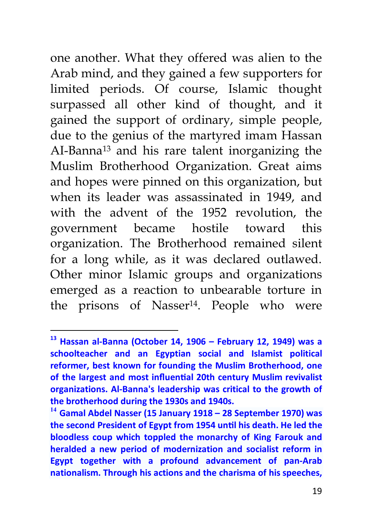one another. What they offered was alien to the Arab mind, and they gained a few supporters for limited periods. Of course, Islamic thought surpassed all other kind of thought, and it gained the support of ordinary, simple people, due to the genius of the martyred imam Hassan AI-Banna<sup>13</sup> and his rare talent inorganizing the Muslim Brotherhood Organization. Great aims and hopes were pinned on this organization, but when its leader was assassinated in 1949, and with the advent of the 1952 revolution, the government became hostile toward this organization. The Brotherhood remained silent for a long while, as it was declared outlawed. Other minor Islamic groups and organizations emerged as a reaction to unbearable torture in the prisons of Nasser<sup>14</sup>. People who were

**<sup>13</sup> Hassan al-Banna (October 14, 1906 – February 12, 1949) was a schoolteacher and an Egyptian social and Islamist political reformer, best known for founding the Muslim Brotherhood, one**  of the largest and most influential 20th century Muslim revivalist **organizations. Al-Banna's leadership was critical to the growth of the brotherhood during the 1930s and 1940s.**

**<sup>14</sup> Gamal Abdel Nasser (15 January 1918 – 28 September 1970) was the second President of Egypt from 1954 unƟl his death. He led the bloodless coup which toppled the monarchy of King Farouk and heralded a new period of modernization and socialist reform in Egypt together with a profound advancement of pan-Arab nationalism. Through his actions and the charisma of his speeches,**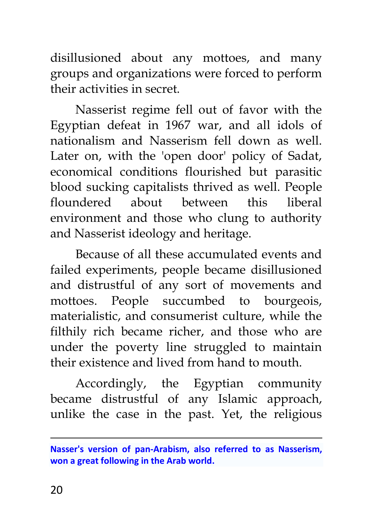disillusioned about any mottoes, and many groups and organizations were forced to perform their activities in secret.

Nasserist regime fell out of favor with the Egyptian defeat in 1967 war, and all idols of nationalism and Nasserism fell down as well. Later on, with the 'open door' policy of Sadat, economical conditions flourished but parasitic blood sucking capitalists thrived as well. People floundered about between this liberal environment and those who clung to authority and Nasserist ideology and heritage.

Because of all these accumulated events and failed experiments, people became disillusioned and distrustful of any sort of movements and mottoes. People succumbed to bourgeois, materialistic, and consumerist culture, while the filthily rich became richer, and those who are under the poverty line struggled to maintain their existence and lived from hand to mouth.

Accordingly, the Egyptian community became distrustful of any Islamic approach, unlike the case in the past. Yet, the religious

**Nasser's version of pan-Arabism, also referred to as Nasserism, won a great following in the Arab world.**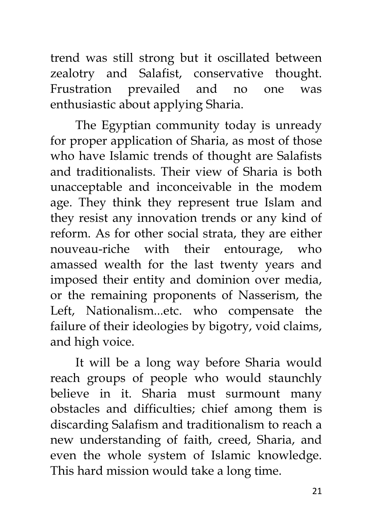trend was still strong but it oscillated between zealotry and Salafist, conservative thought. Frustration prevailed and no one was enthusiastic about applying Sharia.

The Egyptian community today is unready for proper application of Sharia, as most of those who have Islamic trends of thought are Salafists and traditionalists. Their view of Sharia is both unacceptable and inconceivable in the modem age. They think they represent true Islam and they resist any innovation trends or any kind of reform. As for other social strata, they are either nouveau-riche with their entourage, who amassed wealth for the last twenty years and imposed their entity and dominion over media, or the remaining proponents of Nasserism, the Left, Nationalism...etc. who compensate the failure of their ideologies by bigotry, void claims, and high voice.

It will be a long way before Sharia would reach groups of people who would staunchly believe in it. Sharia must surmount many obstacles and difficulties; chief among them is discarding Salafism and traditionalism to reach a new understanding of faith, creed, Sharia, and even the whole system of Islamic knowledge. This hard mission would take a long time.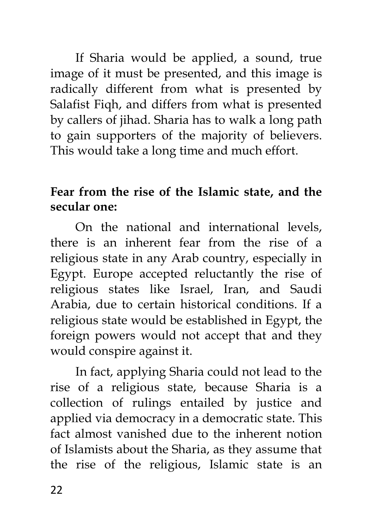If Sharia would be applied, a sound, true image of it must be presented, and this image is radically different from what is presented by Salafist Fiqh, and differs from what is presented by callers of jihad. Sharia has to walk a long path to gain supporters of the majority of believers. This would take a long time and much effort.

### **Fear from the rise of the Islamic state, and the secular one:**

On the national and international levels, there is an inherent fear from the rise of a religious state in any Arab country, especially in Egypt. Europe accepted reluctantly the rise of religious states like Israel, Iran, and Saudi Arabia, due to certain historical conditions. If a religious state would be established in Egypt, the foreign powers would not accept that and they would conspire against it.

In fact, applying Sharia could not lead to the rise of a religious state, because Sharia is a collection of rulings entailed by justice and applied via democracy in a democratic state. This fact almost vanished due to the inherent notion of Islamists about the Sharia, as they assume that the rise of the religious, Islamic state is an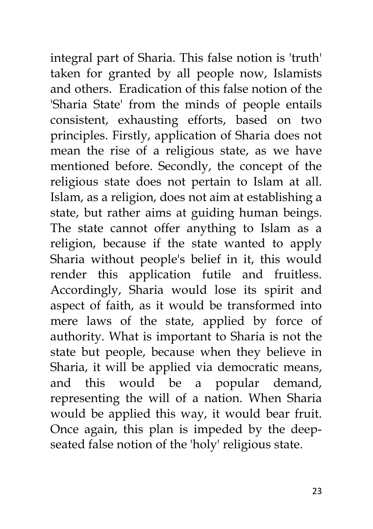integral part of Sharia. This false notion is 'truth' taken for granted by all people now, Islamists and others. Eradication of this false notion of the 'Sharia State' from the minds of people entails consistent, exhausting efforts, based on two principles. Firstly, application of Sharia does not mean the rise of a religious state, as we have mentioned before. Secondly, the concept of the religious state does not pertain to Islam at all. Islam, as a religion, does not aim at establishing a state, but rather aims at guiding human beings. The state cannot offer anything to Islam as a religion, because if the state wanted to apply Sharia without people's belief in it, this would render this application futile and fruitless. Accordingly, Sharia would lose its spirit and aspect of faith, as it would be transformed into mere laws of the state, applied by force of authority. What is important to Sharia is not the state but people, because when they believe in Sharia, it will be applied via democratic means, and this would be a popular demand, representing the will of a nation. When Sharia would be applied this way, it would bear fruit. Once again, this plan is impeded by the deepseated false notion of the 'holy' religious state.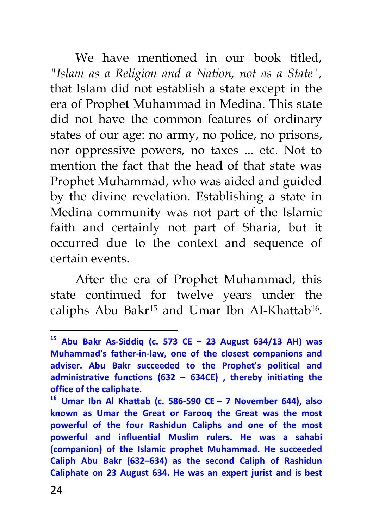We have mentioned in our book titled, *"Islam as a Religion and a Nation, not as a State",*  that Islam did not establish a state except in the era of Prophet Muhammad in Medina. This state did not have the common features of ordinary states of our age: no army, no police, no prisons, nor oppressive powers, no taxes ... etc. Not to mention the fact that the head of that state was Prophet Muhammad, who was aided and guided by the divine revelation. Establishing a state in Medina community was not part of the Islamic faith and certainly not part of Sharia, but it occurred due to the context and sequence of certain events.

After the era of Prophet Muhammad, this state continued for twelve years under the caliphs Abu Bakr<sup>15</sup> and Umar Ibn AI-Khattab<sup>16</sup> .

**<sup>15</sup> Abu Bakr As-Siddiq (c. 573 CE – 23 August 634/13 AH) was Muhammad's father-in-law, one of the closest companions and adviser. Abu Bakr succeeded to the Prophet's political and**  administrative functions (632 - 634CE), thereby initiating the **office of the caliphate.**

**<sup>16</sup> Umar Ibn Al KhaƩab (c. 586-590 CE – 7 November 644), also known as Umar the Great or Farooq the Great was the most powerful of the four Rashidun Caliphs and one of the most powerful and influential Muslim rulers. He was a sahabi (companion) of the Islamic prophet Muhammad. He succeeded Caliph Abu Bakr (632–634) as the second Caliph of Rashidun Caliphate on 23 August 634. He was an expert jurist and is best**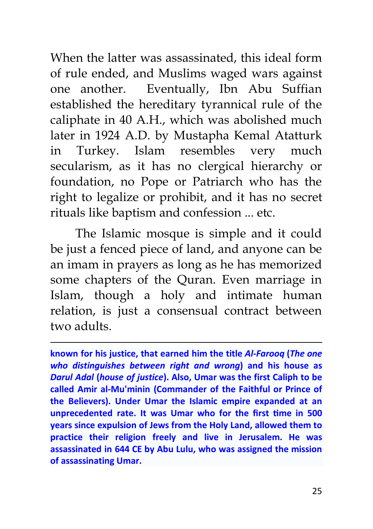When the latter was assassinated, this ideal form of rule ended, and Muslims waged wars against one another. Eventually, Ibn Abu Suffian established the hereditary tyrannical rule of the caliphate in 40 A.H., which was abolished much later in 1924 A.D. by Mustapha Kemal Atatturk in Turkey. Islam resembles very much secularism, as it has no clergical hierarchy or foundation, no Pope or Patriarch who has the right to legalize or prohibit, and it has no secret rituals like baptism and confession ... etc.

The Islamic mosque is simple and it could be just a fenced piece of land, and anyone can be an imam in prayers as long as he has memorized some chapters of the Quran. Even marriage in Islam, though a holy and intimate human relation, is just a consensual contract between two adults.

 $\overline{a}$ 

**known for his justice, that earned him the title** *Al-Farooq* **(***The one who distinguishes between right and wrong***) and his house as**  *Darul Adal* **(***house of justice***). Also, Umar was the first Caliph to be called Amir al-Mu'minin (Commander of the Faithful or Prince of the Believers). Under Umar the Islamic empire expanded at an**  unprecedented rate. It was Umar who for the first time in 500 **years since expulsion of Jews from the Holy Land, allowed them to practice their religion freely and live in Jerusalem. He was assassinated in 644 CE by Abu Lulu, who was assigned the mission of assassinating Umar.**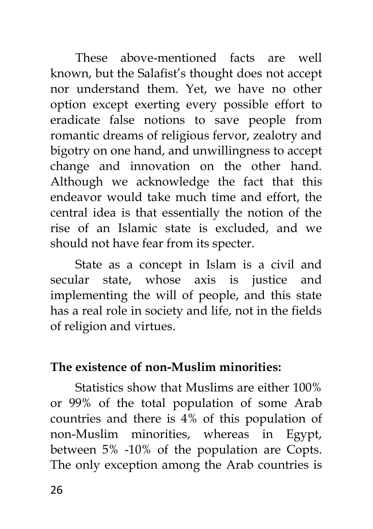These above-mentioned facts are well known, but the Salafist's thought does not accept nor understand them. Yet, we have no other option except exerting every possible effort to eradicate false notions to save people from romantic dreams of religious fervor, zealotry and bigotry on one hand, and unwillingness to accept change and innovation on the other hand. Although we acknowledge the fact that this endeavor would take much time and effort, the central idea is that essentially the notion of the rise of an Islamic state is excluded, and we should not have fear from its specter.

State as a concept in Islam is a civil and secular state, whose axis is justice and implementing the will of people, and this state has a real role in society and life, not in the fields of religion and virtues.

#### **The existence of non-Muslim minorities:**

Statistics show that Muslims are either 100% or 99% of the total population of some Arab countries and there is 4% of this population of non-Muslim minorities, whereas in Egypt, between 5% -10% of the population are Copts. The only exception among the Arab countries is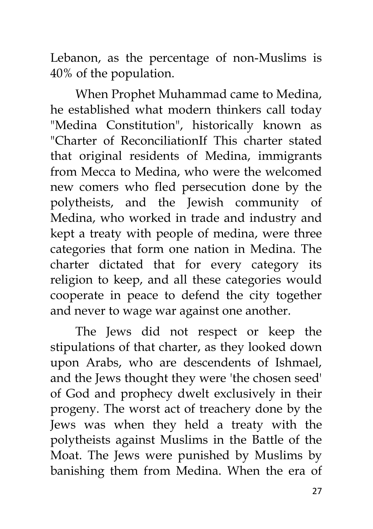Lebanon, as the percentage of non-Muslims is 40% of the population.

When Prophet Muhammad came to Medina, he established what modern thinkers call today "Medina Constitution", historically known as "Charter of ReconciliationIf This charter stated that original residents of Medina, immigrants from Mecca to Medina, who were the welcomed new comers who fled persecution done by the polytheists, and the Jewish community of Medina, who worked in trade and industry and kept a treaty with people of medina, were three categories that form one nation in Medina. The charter dictated that for every category its religion to keep, and all these categories would cooperate in peace to defend the city together and never to wage war against one another.

The Jews did not respect or keep the stipulations of that charter, as they looked down upon Arabs, who are descendents of Ishmael, and the Jews thought they were 'the chosen seed' of God and prophecy dwelt exclusively in their progeny. The worst act of treachery done by the Jews was when they held a treaty with the polytheists against Muslims in the Battle of the Moat. The Jews were punished by Muslims by banishing them from Medina. When the era of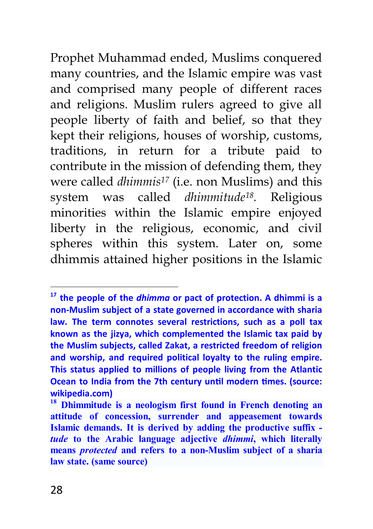Prophet Muhammad ended, Muslims conquered many countries, and the Islamic empire was vast and comprised many people of different races and religions. Muslim rulers agreed to give all people liberty of faith and belief, so that they kept their religions, houses of worship, customs, traditions, in return for a tribute paid to contribute in the mission of defending them, they were called *dhimmis<sup>17</sup>* (i.e. non Muslims) and this system was called *dhimmitude<sup>18</sup> .* Religious minorities within the Islamic empire enjoyed liberty in the religious, economic, and civil spheres within this system. Later on, some dhimmis attained higher positions in the Islamic

 $\overline{\phantom{a}}$ 

**<sup>17</sup> the people of the** *dhimma* **or pact of protection. A dhimmi is a non-Muslim subject of a state governed in accordance with sharia law. The term connotes several restrictions, such as a poll tax known as the jizya, which complemented the Islamic tax paid by the Muslim subjects, called Zakat, a restricted freedom of religion and worship, and required political loyalty to the ruling empire. This status applied to millions of people living from the Atlantic Ocean to India from the 7th century until modern times. (source: wikipedia.com)**

**<sup>18</sup> Dhimmitude is a neologism first found in French denoting an attitude of concession, surrender and appeasement towards Islamic demands. It is derived by adding the productive suffix**  *tude* **to the Arabic language adjective** *dhimmi***, which literally means** *protected* **and refers to a non-Muslim subject of a sharia law state. (same source)**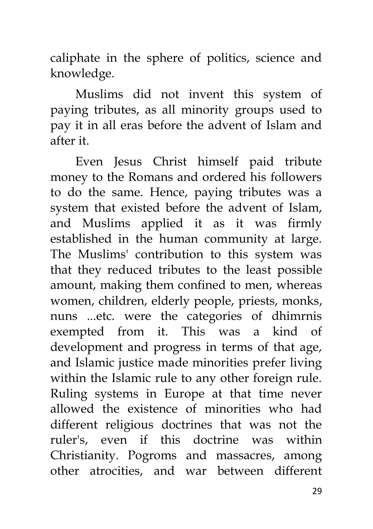caliphate in the sphere of politics, science and knowledge.

Muslims did not invent this system of paying tributes, as all minority groups used to pay it in all eras before the advent of Islam and after it.

Even Jesus Christ himself paid tribute money to the Romans and ordered his followers to do the same. Hence, paying tributes was a system that existed before the advent of Islam, and Muslims applied it as it was firmly established in the human community at large. The Muslims' contribution to this system was that they reduced tributes to the least possible amount, making them confined to men, whereas women, children, elderly people, priests, monks, nuns ...etc. were the categories of dhimrnis exempted from it. This was a kind of development and progress in terms of that age, and Islamic justice made minorities prefer living within the Islamic rule to any other foreign rule. Ruling systems in Europe at that time never allowed the existence of minorities who had different religious doctrines that was not the ruler's, even if this doctrine was within Christianity. Pogroms and massacres, among other atrocities, and war between different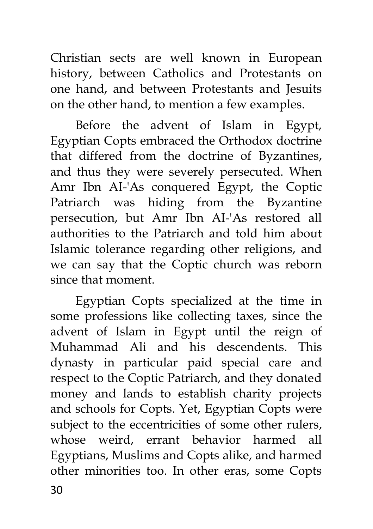Christian sects are well known in European history, between Catholics and Protestants on one hand, and between Protestants and Jesuits on the other hand, to mention a few examples.

Before the advent of Islam in Egypt, Egyptian Copts embraced the Orthodox doctrine that differed from the doctrine of Byzantines, and thus they were severely persecuted. When Amr Ibn AI-'As conquered Egypt, the Coptic Patriarch was hiding from the Byzantine persecution, but Amr Ibn AI-'As restored all authorities to the Patriarch and told him about Islamic tolerance regarding other religions, and we can say that the Coptic church was reborn since that moment.

Egyptian Copts specialized at the time in some professions like collecting taxes, since the advent of Islam in Egypt until the reign of Muhammad Ali and his descendents. This dynasty in particular paid special care and respect to the Coptic Patriarch, and they donated money and lands to establish charity projects and schools for Copts. Yet, Egyptian Copts were subject to the eccentricities of some other rulers, whose weird, errant behavior harmed all Egyptians, Muslims and Copts alike, and harmed other minorities too. In other eras, some Copts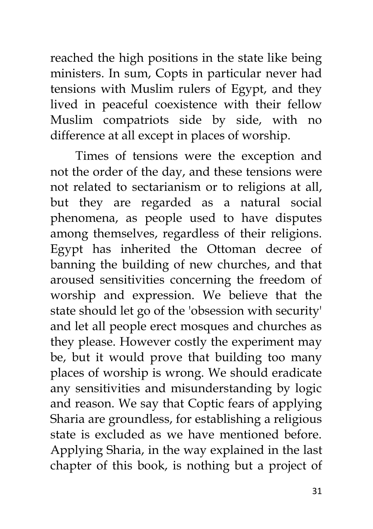reached the high positions in the state like being ministers. In sum, Copts in particular never had tensions with Muslim rulers of Egypt, and they lived in peaceful coexistence with their fellow Muslim compatriots side by side, with no difference at all except in places of worship.

Times of tensions were the exception and not the order of the day, and these tensions were not related to sectarianism or to religions at all, but they are regarded as a natural social phenomena, as people used to have disputes among themselves, regardless of their religions. Egypt has inherited the Ottoman decree of banning the building of new churches, and that aroused sensitivities concerning the freedom of worship and expression. We believe that the state should let go of the 'obsession with security' and let all people erect mosques and churches as they please. However costly the experiment may be, but it would prove that building too many places of worship is wrong. We should eradicate any sensitivities and misunderstanding by logic and reason. We say that Coptic fears of applying Sharia are groundless, for establishing a religious state is excluded as we have mentioned before. Applying Sharia, in the way explained in the last chapter of this book, is nothing but a project of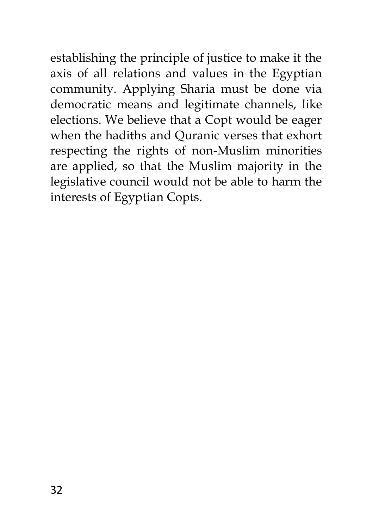establishing the principle of justice to make it the axis of all relations and values in the Egyptian community. Applying Sharia must be done via democratic means and legitimate channels, like elections. We believe that a Copt would be eager when the hadiths and Quranic verses that exhort respecting the rights of non-Muslim minorities are applied, so that the Muslim majority in the legislative council would not be able to harm the interests of Egyptian Copts.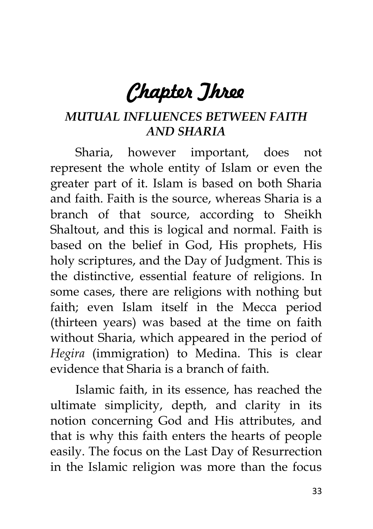# *Chapter Three*

### *MUTUAL INFLUENCES BETWEEN FAITH AND SHARIA*

Sharia, however important, does not represent the whole entity of Islam or even the greater part of it. Islam is based on both Sharia and faith. Faith is the source, whereas Sharia is a branch of that source, according to Sheikh Shaltout, and this is logical and normal. Faith is based on the belief in God, His prophets, His holy scriptures, and the Day of Judgment. This is the distinctive, essential feature of religions. In some cases, there are religions with nothing but faith; even Islam itself in the Mecca period (thirteen years) was based at the time on faith without Sharia, which appeared in the period of *Hegira* (immigration) to Medina. This is clear evidence that Sharia is a branch of faith.

Islamic faith, in its essence, has reached the ultimate simplicity, depth, and clarity in its notion concerning God and His attributes, and that is why this faith enters the hearts of people easily. The focus on the Last Day of Resurrection in the Islamic religion was more than the focus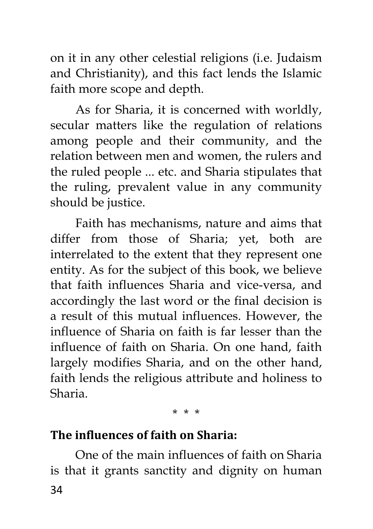on it in any other celestial religions (i.e. Judaism and Christianity), and this fact lends the Islamic faith more scope and depth.

As for Sharia, it is concerned with worldly, secular matters like the regulation of relations among people and their community, and the relation between men and women, the rulers and the ruled people ... etc. and Sharia stipulates that the ruling, prevalent value in any community should be justice.

Faith has mechanisms, nature and aims that differ from those of Sharia; yet, both are interrelated to the extent that they represent one entity. As for the subject of this book, we believe that faith influences Sharia and vice-versa, and accordingly the last word or the final decision is a result of this mutual influences. However, the influence of Sharia on faith is far lesser than the influence of faith on Sharia. On one hand, faith largely modifies Sharia, and on the other hand, faith lends the religious attribute and holiness to Sharia.

#### \* \* \*

#### **The influences of faith on Sharia:**

34 One of the main influences of faith on Sharia is that it grants sanctity and dignity on human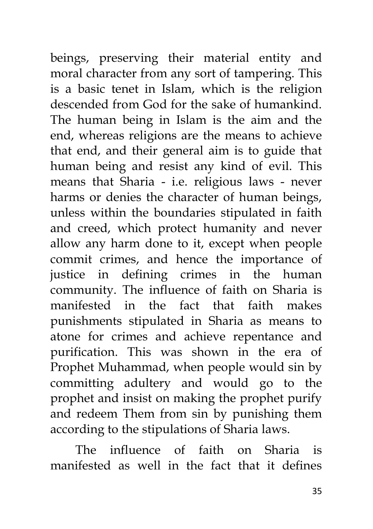beings, preserving their material entity and moral character from any sort of tampering. This is a basic tenet in Islam, which is the religion descended from God for the sake of humankind. The human being in Islam is the aim and the end, whereas religions are the means to achieve that end, and their general aim is to guide that human being and resist any kind of evil. This means that Sharia - i.e. religious laws - never harms or denies the character of human beings, unless within the boundaries stipulated in faith and creed, which protect humanity and never allow any harm done to it, except when people commit crimes, and hence the importance of justice in defining crimes in the human community. The influence of faith on Sharia is manifested in the fact that faith makes punishments stipulated in Sharia as means to atone for crimes and achieve repentance and purification. This was shown in the era of Prophet Muhammad, when people would sin by committing adultery and would go to the prophet and insist on making the prophet purify and redeem Them from sin by punishing them according to the stipulations of Sharia laws.

The influence of faith on Sharia is manifested as well in the fact that it defines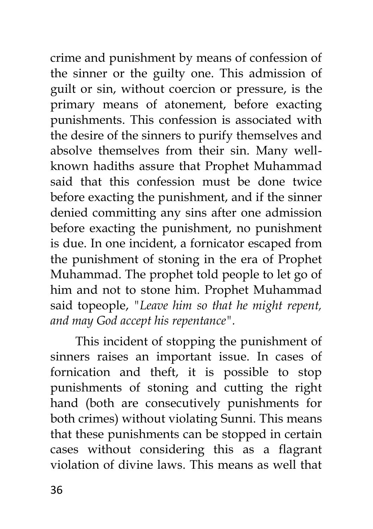crime and punishment by means of confession of the sinner or the guilty one. This admission of guilt or sin, without coercion or pressure, is the primary means of atonement, before exacting punishments. This confession is associated with the desire of the sinners to purify themselves and absolve themselves from their sin. Many wellknown hadiths assure that Prophet Muhammad said that this confession must be done twice before exacting the punishment, and if the sinner denied committing any sins after one admission before exacting the punishment, no punishment is due. In one incident, a fornicator escaped from the punishment of stoning in the era of Prophet Muhammad. The prophet told people to let go of him and not to stone him. Prophet Muhammad said topeople, *"Leave him so that he might repent, and may God accept his repentance".*

This incident of stopping the punishment of sinners raises an important issue. In cases of fornication and theft, it is possible to stop punishments of stoning and cutting the right hand (both are consecutively punishments for both crimes) without violating Sunni. This means that these punishments can be stopped in certain cases without considering this as a flagrant violation of divine laws. This means as well that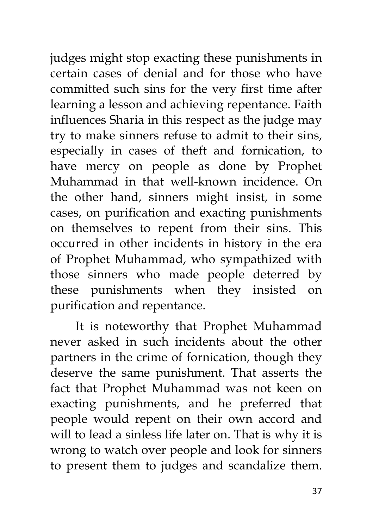judges might stop exacting these punishments in certain cases of denial and for those who have committed such sins for the very first time after learning a lesson and achieving repentance. Faith influences Sharia in this respect as the judge may try to make sinners refuse to admit to their sins, especially in cases of theft and fornication, to have mercy on people as done by Prophet Muhammad in that well-known incidence. On the other hand, sinners might insist, in some cases, on purification and exacting punishments on themselves to repent from their sins. This occurred in other incidents in history in the era of Prophet Muhammad, who sympathized with those sinners who made people deterred by these punishments when they insisted on purification and repentance.

It is noteworthy that Prophet Muhammad never asked in such incidents about the other partners in the crime of fornication, though they deserve the same punishment. That asserts the fact that Prophet Muhammad was not keen on exacting punishments, and he preferred that people would repent on their own accord and will to lead a sinless life later on. That is why it is wrong to watch over people and look for sinners to present them to judges and scandalize them.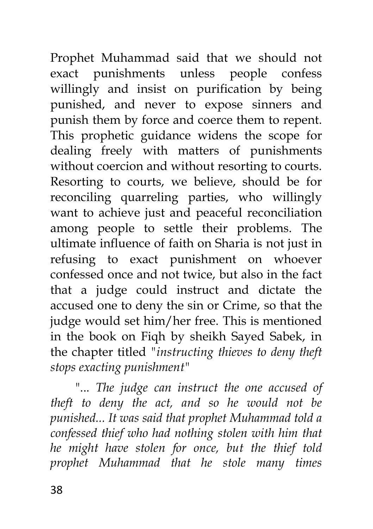Prophet Muhammad said that we should not exact punishments unless people confess willingly and insist on purification by being punished, and never to expose sinners and punish them by force and coerce them to repent. This prophetic guidance widens the scope for dealing freely with matters of punishments without coercion and without resorting to courts. Resorting to courts, we believe, should be for reconciling quarreling parties, who willingly want to achieve just and peaceful reconciliation among people to settle their problems. The ultimate influence of faith on Sharia is not just in refusing to exact punishment on whoever confessed once and not twice, but also in the fact that a judge could instruct and dictate the accused one to deny the sin or Crime, so that the judge would set him/her free. This is mentioned in the book on Fiqh by sheikh Sayed Sabek, in the chapter titled *"instructing thieves to deny theft stops exacting punishment"*

"... *The judge can instruct the one accused of theft to deny the act, and so he would not be punished... It was said that prophet Muhammad told a confessed thief who had nothing stolen with him that he might have stolen for once, but the thief told prophet Muhammad that he stole many times*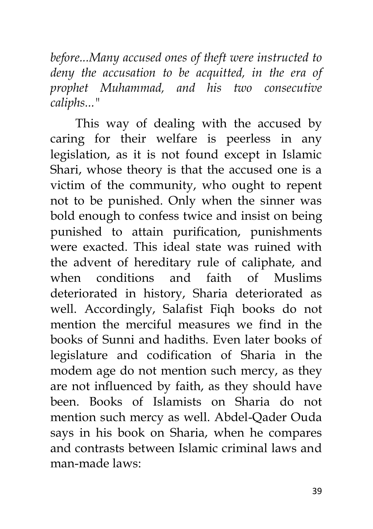*before...Many accused ones of theft were instructed to deny the accusation to be acquitted, in the era of prophet Muhammad, and his two consecutive caliphs..."*

This way of dealing with the accused by caring for their welfare is peerless in any legislation, as it is not found except in Islamic Shari, whose theory is that the accused one is a victim of the community, who ought to repent not to be punished. Only when the sinner was bold enough to confess twice and insist on being punished to attain purification, punishments were exacted. This ideal state was ruined with the advent of hereditary rule of caliphate, and when conditions and faith of Muslims deteriorated in history, Sharia deteriorated as well. Accordingly, Salafist Fiqh books do not mention the merciful measures we find in the books of Sunni and hadiths. Even later books of legislature and codification of Sharia in the modem age do not mention such mercy, as they are not influenced by faith, as they should have been. Books of Islamists on Sharia do not mention such mercy as well. Abdel-Qader Ouda says in his book on Sharia, when he compares and contrasts between Islamic criminal laws and man-made laws: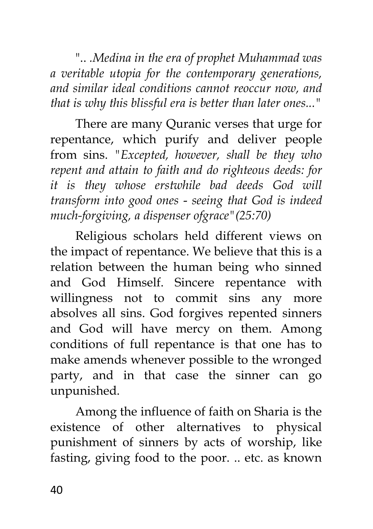".. *.Medina in the era of prophet Muhammad was a veritable utopia for the contemporary generations, and similar ideal conditions cannot reoccur now, and that is why this blissful era is better than later ones..."*

There are many Quranic verses that urge for repentance, which purify and deliver people from sins. *"Excepted, however, shall be they who repent and attain to faith and do righteous deeds: for it is they whose erstwhile bad deeds God will transform into good ones* - *seeing that God is indeed much-forgiving, a dispenser ofgrace"(25:70)*

Religious scholars held different views on the impact of repentance. We believe that this is a relation between the human being who sinned and God Himself. Sincere repentance with willingness not to commit sins any more absolves all sins. God forgives repented sinners and God will have mercy on them. Among conditions of full repentance is that one has to make amends whenever possible to the wronged party, and in that case the sinner can go unpunished.

Among the influence of faith on Sharia is the existence of other alternatives to physical punishment of sinners by acts of worship, like fasting, giving food to the poor. .. etc. as known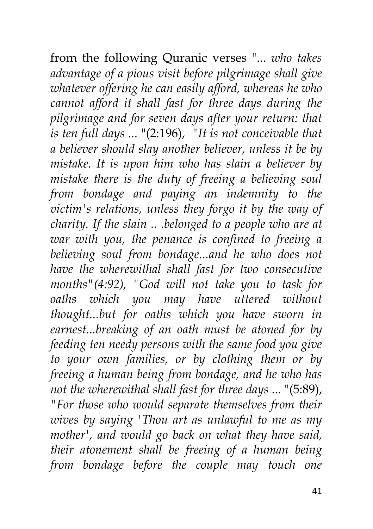from the following Quranic verses "... *who takes advantage of a pious visit before pilgrimage shall give whatever offering he can easily afford, whereas he who cannot afford it shall fast for three days during the pilgrimage and for seven days after your return: that is ten full days ...* "(2:196), *"It is not conceivable that a believer should slay another believer, unless it be by mistake. It is upon him who has slain a believer by mistake there is the duty of freeing a believing soul from bondage and paying an indemnity to the victim's relations, unless they forgo it by the way of charity. If the slain ..* .*belonged to a people who are at war with you, the penance is confined to freeing a believing soul from bondage...and he who does not have the wherewithal shall fast for two consecutive months"(4:92), "God will not take you to task for oaths which you may have uttered without thought...but for oaths which you have sworn in earnest...breaking of an oath must be atoned for by feeding ten needy persons with the same food you give to your own families, or by clothing them or by freeing a human being from bondage, and he who has not the wherewithal shall fast for three days ...* "(5:89), *"For those who would separate themselves from their wives by saying 'Thou art as unlawful to me as my mother', and would go back on what they have said, their atonement shall be freeing of a human being from bondage before the couple may touch one*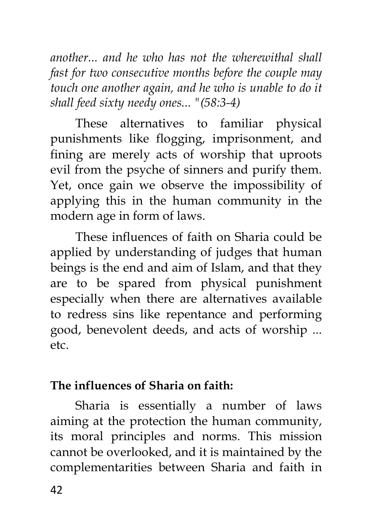*another... and he who has not the wherewithal shall fast for two consecutive months before the couple may touch one another again, and he who is unable to do it shall feed sixty needy ones... "(58:3-4)*

These alternatives to familiar physical punishments like flogging, imprisonment, and fining are merely acts of worship that uproots evil from the psyche of sinners and purify them. Yet, once gain we observe the impossibility of applying this in the human community in the modern age in form of laws.

These influences of faith on Sharia could be applied by understanding of judges that human beings is the end and aim of Islam, and that they are to be spared from physical punishment especially when there are alternatives available to redress sins like repentance and performing good, benevolent deeds, and acts of worship ... etc.

# **The influences of Sharia on faith:**

Sharia is essentially a number of laws aiming at the protection the human community, its moral principles and norms. This mission cannot be overlooked, and it is maintained by the complementarities between Sharia and faith in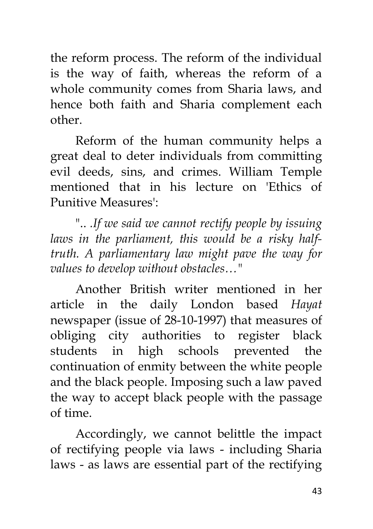the reform process. The reform of the individual is the way of faith, whereas the reform of a whole community comes from Sharia laws, and hence both faith and Sharia complement each other.

Reform of the human community helps a great deal to deter individuals from committing evil deeds, sins, and crimes. William Temple mentioned that in his lecture on 'Ethics of Punitive Measures':

".. *.If we said we cannot rectify people by issuing laws in the parliament, this would be a risky halftruth. A parliamentary law might pave the way for values to develop without obstacles…"*

Another British writer mentioned in her article in the daily London based *Hayat*  newspaper (issue of 28-10-1997) that measures of obliging city authorities to register black students in high schools prevented the continuation of enmity between the white people and the black people. Imposing such a law paved the way to accept black people with the passage of time.

Accordingly, we cannot belittle the impact of rectifying people via laws - including Sharia laws - as laws are essential part of the rectifying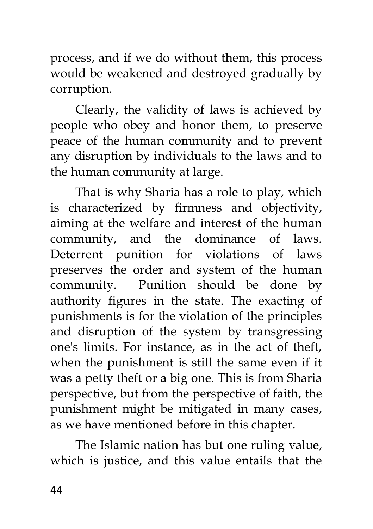process, and if we do without them, this process would be weakened and destroyed gradually by corruption.

Clearly, the validity of laws is achieved by people who obey and honor them, to preserve peace of the human community and to prevent any disruption by individuals to the laws and to the human community at large.

That is why Sharia has a role to play, which is characterized by firmness and objectivity, aiming at the welfare and interest of the human community, and the dominance of laws. Deterrent punition for violations of laws preserves the order and system of the human community. Punition should be done by authority figures in the state. The exacting of punishments is for the violation of the principles and disruption of the system by transgressing one's limits. For instance, as in the act of theft, when the punishment is still the same even if it was a petty theft or a big one. This is from Sharia perspective, but from the perspective of faith, the punishment might be mitigated in many cases, as we have mentioned before in this chapter.

The Islamic nation has but one ruling value, which is justice, and this value entails that the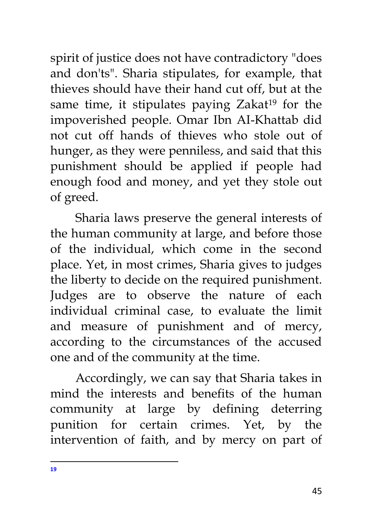spirit of justice does not have contradictory "does and don'ts". Sharia stipulates, for example, that thieves should have their hand cut off, but at the same time, it stipulates paying Zakat<sup>19</sup> for the impoverished people. Omar Ibn AI-Khattab did not cut off hands of thieves who stole out of hunger, as they were penniless, and said that this punishment should be applied if people had enough food and money, and yet they stole out of greed.

Sharia laws preserve the general interests of the human community at large, and before those of the individual, which come in the second place. Yet, in most crimes, Sharia gives to judges the liberty to decide on the required punishment. Judges are to observe the nature of each individual criminal case, to evaluate the limit and measure of punishment and of mercy, according to the circumstances of the accused one and of the community at the time.

Accordingly, we can say that Sharia takes in mind the interests and benefits of the human community at large by defining deterring punition for certain crimes. Yet, by the intervention of faith, and by mercy on part of

 $\overline{a}$ **19**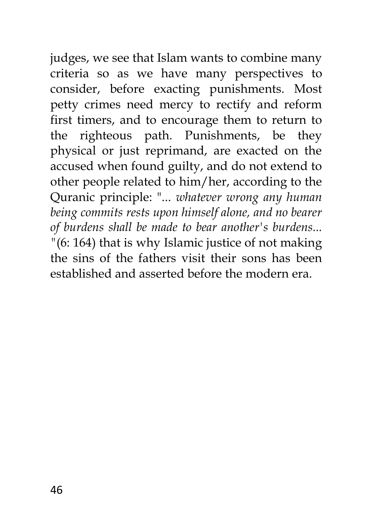judges, we see that Islam wants to combine many criteria so as we have many perspectives to consider, before exacting punishments. Most petty crimes need mercy to rectify and reform first timers, and to encourage them to return to the righteous path. Punishments, be they physical or just reprimand, are exacted on the accused when found guilty, and do not extend to other people related to him/her, according to the Quranic principle: "... *whatever wrong any human being commits rests upon himself alone, and no bearer of burdens shall be made to bear another's burdens... "*(6: 164) that is why Islamic justice of not making the sins of the fathers visit their sons has been established and asserted before the modern era.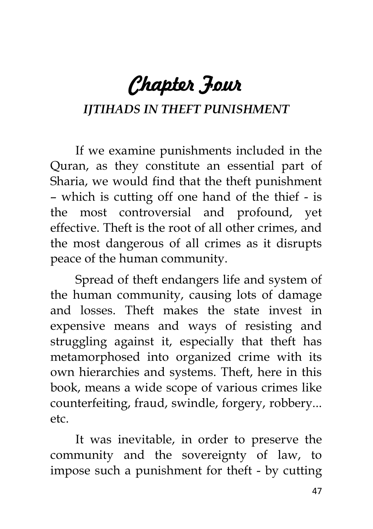*Chapter Four* 

#### *IJTIHADS IN THEFT PUNISHMENT*

If we examine punishments included in the Quran, as they constitute an essential part of Sharia, we would find that the theft punishment – which is cutting off one hand of the thief - is the most controversial and profound, yet effective. Theft is the root of all other crimes, and the most dangerous of all crimes as it disrupts peace of the human community.

Spread of theft endangers life and system of the human community, causing lots of damage and losses. Theft makes the state invest in expensive means and ways of resisting and struggling against it, especially that theft has metamorphosed into organized crime with its own hierarchies and systems. Theft, here in this book, means a wide scope of various crimes like counterfeiting, fraud, swindle, forgery, robbery... etc.

It was inevitable, in order to preserve the community and the sovereignty of law, to impose such a punishment for theft - by cutting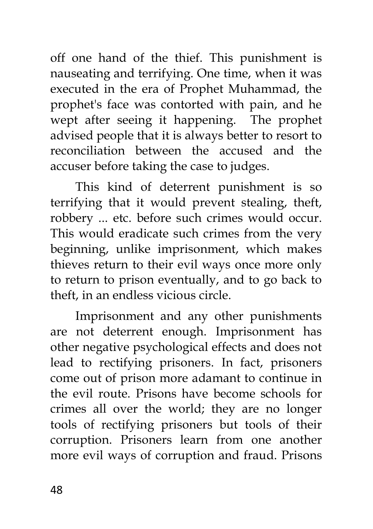off one hand of the thief. This punishment is nauseating and terrifying. One time, when it was executed in the era of Prophet Muhammad, the prophet's face was contorted with pain, and he wept after seeing it happening. The prophet advised people that it is always better to resort to reconciliation between the accused and the accuser before taking the case to judges.

This kind of deterrent punishment is so terrifying that it would prevent stealing, theft, robbery ... etc. before such crimes would occur. This would eradicate such crimes from the very beginning, unlike imprisonment, which makes thieves return to their evil ways once more only to return to prison eventually, and to go back to theft, in an endless vicious circle.

Imprisonment and any other punishments are not deterrent enough. Imprisonment has other negative psychological effects and does not lead to rectifying prisoners. In fact, prisoners come out of prison more adamant to continue in the evil route. Prisons have become schools for crimes all over the world; they are no longer tools of rectifying prisoners but tools of their corruption. Prisoners learn from one another more evil ways of corruption and fraud. Prisons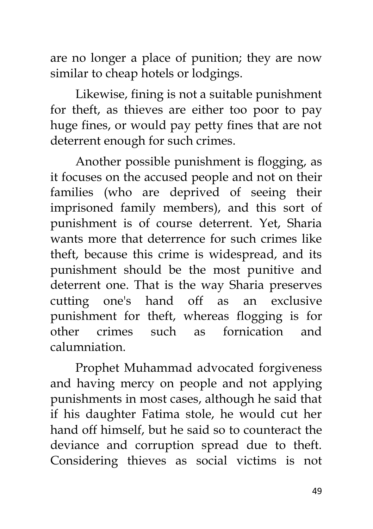are no longer a place of punition; they are now similar to cheap hotels or lodgings.

Likewise, fining is not a suitable punishment for theft, as thieves are either too poor to pay huge fines, or would pay petty fines that are not deterrent enough for such crimes.

Another possible punishment is flogging, as it focuses on the accused people and not on their families (who are deprived of seeing their imprisoned family members), and this sort of punishment is of course deterrent. Yet, Sharia wants more that deterrence for such crimes like theft, because this crime is widespread, and its punishment should be the most punitive and deterrent one. That is the way Sharia preserves cutting one's hand off as an exclusive punishment for theft, whereas flogging is for other crimes such as fornication and calumniation.

Prophet Muhammad advocated forgiveness and having mercy on people and not applying punishments in most cases, although he said that if his daughter Fatima stole, he would cut her hand off himself, but he said so to counteract the deviance and corruption spread due to theft. Considering thieves as social victims is not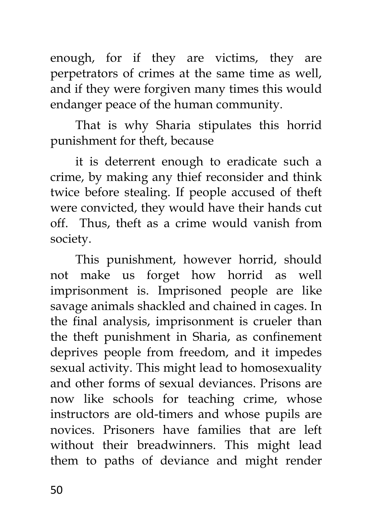enough, for if they are victims, they are perpetrators of crimes at the same time as well, and if they were forgiven many times this would endanger peace of the human community.

That is why Sharia stipulates this horrid punishment for theft, because

it is deterrent enough to eradicate such a crime, by making any thief reconsider and think twice before stealing. If people accused of theft were convicted, they would have their hands cut off. Thus, theft as a crime would vanish from society.

This punishment, however horrid, should not make us forget how horrid as well imprisonment is. Imprisoned people are like savage animals shackled and chained in cages. In the final analysis, imprisonment is crueler than the theft punishment in Sharia, as confinement deprives people from freedom, and it impedes sexual activity. This might lead to homosexuality and other forms of sexual deviances. Prisons are now like schools for teaching crime, whose instructors are old-timers and whose pupils are novices. Prisoners have families that are left without their breadwinners. This might lead them to paths of deviance and might render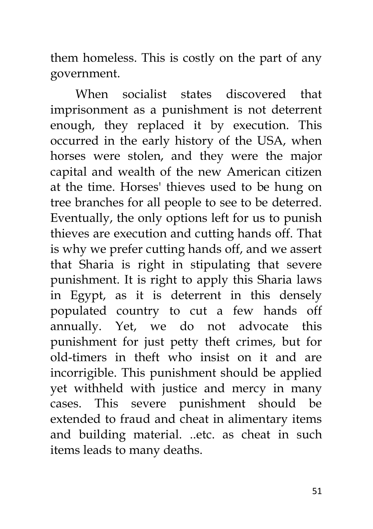them homeless. This is costly on the part of any government.

When socialist states discovered that imprisonment as a punishment is not deterrent enough, they replaced it by execution. This occurred in the early history of the USA, when horses were stolen, and they were the major capital and wealth of the new American citizen at the time. Horses' thieves used to be hung on tree branches for all people to see to be deterred. Eventually, the only options left for us to punish thieves are execution and cutting hands off. That is why we prefer cutting hands off, and we assert that Sharia is right in stipulating that severe punishment. It is right to apply this Sharia laws in Egypt, as it is deterrent in this densely populated country to cut a few hands off annually. Yet, we do not advocate this punishment for just petty theft crimes, but for old-timers in theft who insist on it and are incorrigible. This punishment should be applied yet withheld with justice and mercy in many cases. This severe punishment should be extended to fraud and cheat in alimentary items and building material. ..etc. as cheat in such items leads to many deaths.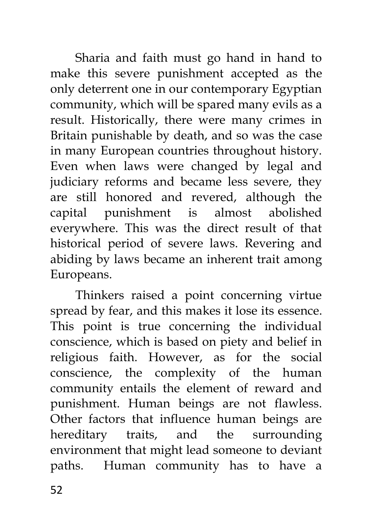Sharia and faith must go hand in hand to make this severe punishment accepted as the only deterrent one in our contemporary Egyptian community, which will be spared many evils as a result. Historically, there were many crimes in Britain punishable by death, and so was the case in many European countries throughout history. Even when laws were changed by legal and judiciary reforms and became less severe, they are still honored and revered, although the capital punishment is almost abolished everywhere. This was the direct result of that historical period of severe laws. Revering and abiding by laws became an inherent trait among Europeans.

Thinkers raised a point concerning virtue spread by fear, and this makes it lose its essence. This point is true concerning the individual conscience, which is based on piety and belief in religious faith. However, as for the social conscience, the complexity of the human community entails the element of reward and punishment. Human beings are not flawless. Other factors that influence human beings are hereditary traits, and the surrounding environment that might lead someone to deviant paths. Human community has to have a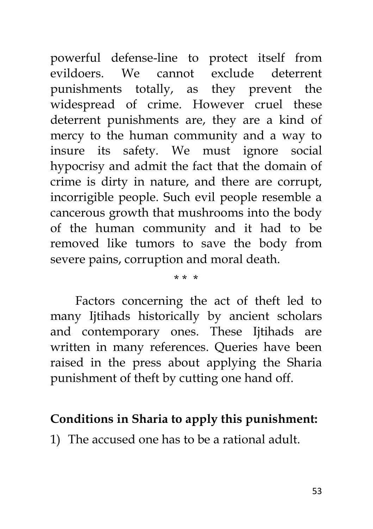powerful defense-line to protect itself from evildoers. We cannot exclude deterrent punishments totally, as they prevent the widespread of crime. However cruel these deterrent punishments are, they are a kind of mercy to the human community and a way to insure its safety. We must ignore social hypocrisy and admit the fact that the domain of crime is dirty in nature, and there are corrupt, incorrigible people. Such evil people resemble a cancerous growth that mushrooms into the body of the human community and it had to be removed like tumors to save the body from severe pains, corruption and moral death.

#### \* \* \*

Factors concerning the act of theft led to many Ijtihads historically by ancient scholars and contemporary ones. These Ijtihads are written in many references. Queries have been raised in the press about applying the Sharia punishment of theft by cutting one hand off.

### **Conditions in Sharia to apply this punishment:**

1) The accused one has to be a rational adult.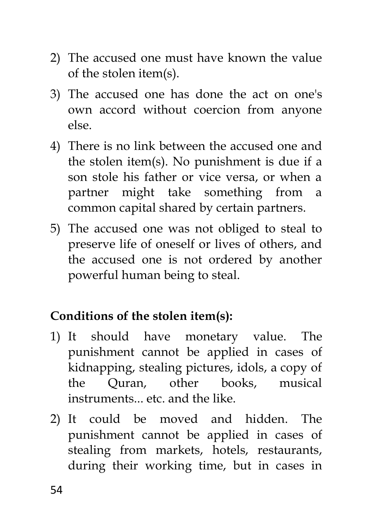- 2) The accused one must have known the value of the stolen item(s).
- 3) The accused one has done the act on one's own accord without coercion from anyone else.
- 4) There is no link between the accused one and the stolen item(s). No punishment is due if a son stole his father or vice versa, or when a partner might take something from a common capital shared by certain partners.
- 5) The accused one was not obliged to steal to preserve life of oneself or lives of others, and the accused one is not ordered by another powerful human being to steal.

# **Conditions of the stolen item(s):**

- 1) It should have monetary value. The punishment cannot be applied in cases of kidnapping, stealing pictures, idols, a copy of the Quran, other books, musical instruments... etc. and the like.
- 2) It could be moved and hidden. The punishment cannot be applied in cases of stealing from markets, hotels, restaurants, during their working time, but in cases in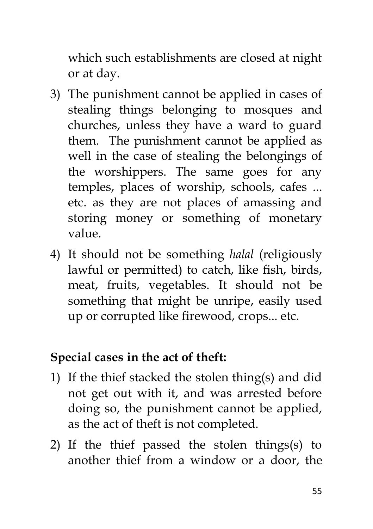which such establishments are closed at night or at day.

- 3) The punishment cannot be applied in cases of stealing things belonging to mosques and churches, unless they have a ward to guard them. The punishment cannot be applied as well in the case of stealing the belongings of the worshippers. The same goes for any temples, places of worship, schools, cafes ... etc. as they are not places of amassing and storing money or something of monetary value.
- 4) It should not be something *halal* (religiously lawful or permitted) to catch, like fish, birds, meat, fruits, vegetables. It should not be something that might be unripe, easily used up or corrupted like firewood, crops... etc.

#### **Special cases in the act of theft:**

- 1) If the thief stacked the stolen thing(s) and did not get out with it, and was arrested before doing so, the punishment cannot be applied, as the act of theft is not completed.
- 2) If the thief passed the stolen things(s) to another thief from a window or a door, the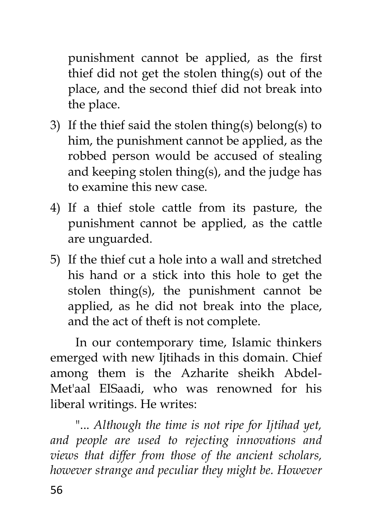punishment cannot be applied, as the first thief did not get the stolen thing(s) out of the place, and the second thief did not break into the place.

- 3) If the thief said the stolen thing(s) belong(s) to him, the punishment cannot be applied, as the robbed person would be accused of stealing and keeping stolen thing(s), and the judge has to examine this new case.
- 4) If a thief stole cattle from its pasture, the punishment cannot be applied, as the cattle are unguarded.
- 5) If the thief cut a hole into a wall and stretched his hand or a stick into this hole to get the stolen thing(s), the punishment cannot be applied, as he did not break into the place, and the act of theft is not complete.

In our contemporary time, Islamic thinkers emerged with new Ijtihads in this domain. Chief among them is the Azharite sheikh Abdel-Met'aal EISaadi, who was renowned for his liberal writings. He writes:

"... *Although the time is not ripe for Ijtihad yet, and people are used to rejecting innovations and views that differ from those of the ancient scholars, however strange and peculiar they might be. However*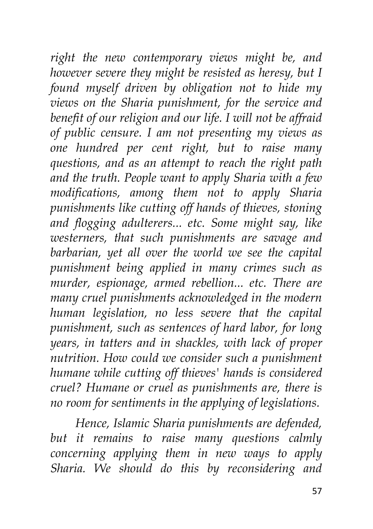*right the new contemporary views might be, and however severe they might be resisted as heresy, but I found myself driven by obligation not to hide my views on the Sharia punishment, for the service and benefit of our religion and our life. I will not be affraid of public censure. I am not presenting my views as one hundred per cent right, but to raise many questions, and as an attempt to reach the right path and the truth. People want to apply Sharia with a few modifications, among them not to apply Sharia punishments like cutting off hands of thieves, stoning and flogging adulterers... etc. Some might say, like westerners, that such punishments are savage and barbarian, yet all over the world we see the capital punishment being applied in many crimes such as murder, espionage, armed rebellion... etc. There are many cruel punishments acknowledged in the modern human legislation, no less severe that the capital punishment, such as sentences of hard labor, for long years, in tatters and in shackles, with lack of proper nutrition. How could we consider such a punishment humane while cutting off thieves' hands is considered cruel? Humane or cruel as punishments are, there is no room for sentiments in the applying of legislations.*

*Hence, Islamic Sharia punishments are defended, but it remains to raise many questions calmly concerning applying them in new ways to apply Sharia. We should do this by reconsidering and*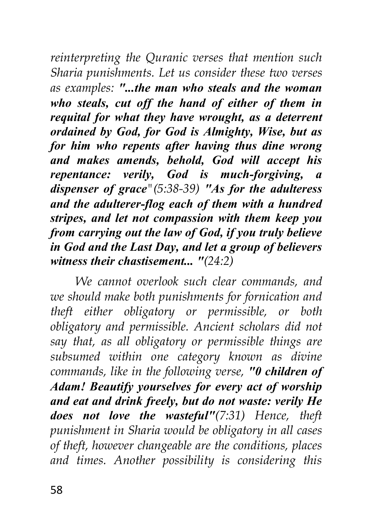*reinterpreting the Quranic verses that mention such Sharia punishments. Let us consider these two verses as examples: "...the man who steals and the woman who steals, cut off the hand of either of them in requital for what they have wrought, as a deterrent ordained by God, for God is Almighty, Wise, but as for him who repents after having thus dine wrong and makes amends, behold, God will accept his repentance: verily, God is much-forgiving, a dispenser of grace"(5:38-39) "As for the adulteress and the adulterer-flog each of them with a hundred stripes, and let not compassion with them keep you from carrying out the law of God, if you truly believe in God and the Last Day, and let a group of believers witness their chastisement... "(24:2)*

*We cannot overlook such clear commands, and we should make both punishments for fornication and theft either obligatory or permissible, or both obligatory and permissible. Ancient scholars did not say that, as all obligatory or permissible things are subsumed within one category known as divine commands, like in the following verse, "0 children of Adam! Beautify yourselves for every act of worship and eat and drink freely, but do not waste: verily He does not love the wasteful"(7:31) Hence, theft punishment in Sharia would be obligatory in all cases of theft, however changeable are the conditions, places and times. Another possibility is considering this*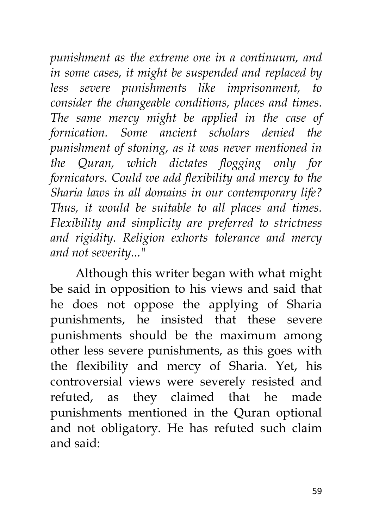*punishment as the extreme one in a continuum, and in some cases, it might be suspended and replaced by less severe punishments like imprisonment, to consider the changeable conditions, places and times. The same mercy might be applied in the case of fornication. Some ancient scholars denied the punishment of stoning, as it was never mentioned in the Quran, which dictates flogging only for fornicators. Could we add flexibility and mercy to the Sharia laws in all domains in our contemporary life? Thus, it would be suitable to all places and times. Flexibility and simplicity are preferred to strictness and rigidity. Religion exhorts tolerance and mercy and not severity..."*

Although this writer began with what might be said in opposition to his views and said that he does not oppose the applying of Sharia punishments, he insisted that these severe punishments should be the maximum among other less severe punishments, as this goes with the flexibility and mercy of Sharia. Yet, his controversial views were severely resisted and refuted, as they claimed that he made punishments mentioned in the Quran optional and not obligatory. He has refuted such claim and said: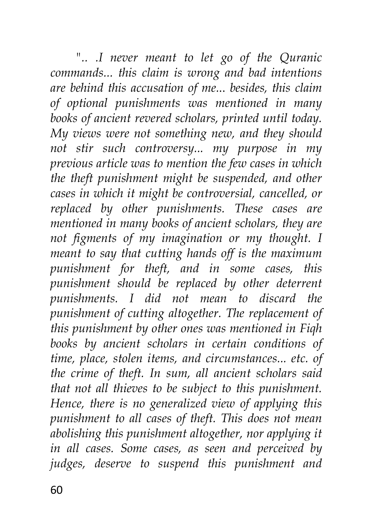*".. .I never meant to let go of the Quranic commands... this claim is wrong and bad intentions are behind this accusation of me.*.. *besides, this claim of optional punishments was mentioned in many books of ancient revered scholars, printed until today. My views were not something new, and they should not stir such controversy... my purpose in my previous article was to mention the few cases in which the theft punishment might be suspended, and other cases in which it might be controversial, cancelled, or replaced by other punishments. These cases are mentioned in many books of ancient scholars, they are not figments of my imagination or my thought. I meant to say that cutting hands off is the maximum punishment for theft, and in some cases, this punishment should be replaced by other deterrent punishments. I did not mean to discard the punishment of cutting altogether. The replacement of this punishment by other ones was mentioned in Fiqh books by ancient scholars in certain conditions of time, place, stolen items, and circumstances... etc. of the crime of theft. In sum, all ancient scholars said that not all thieves to be subject to this punishment. Hence, there is no generalized view of applying this punishment to all cases of theft. This does not mean abolishing this punishment altogether, nor applying it in all cases. Some cases, as seen and perceived by judges, deserve to suspend this punishment and*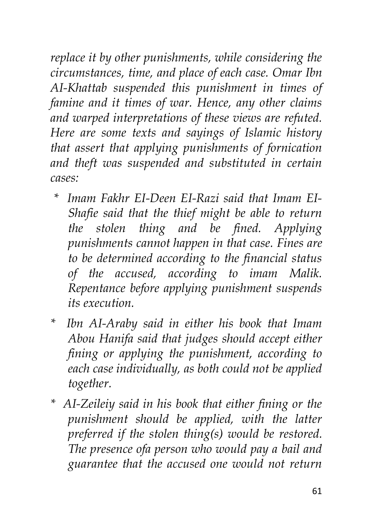*replace it by other punishments, while considering the circumstances, time, and place of each case. Omar Ibn AI-Khattab suspended this punishment in times of famine and it times of war. Hence, any other claims and warped interpretations of these views are refuted. Here are some texts and sayings of Islamic history that assert that applying punishments of fornication and theft was suspended and substituted in certain cases:*

- *\* Imam Fakhr EI-Deen EI-Razi said that Imam EI-Shafie said that the thief might be able to return the stolen thing and be fined. Applying punishments cannot happen in that case. Fines are to be determined according to the financial status of the accused, according to imam Malik. Repentance before applying punishment suspends its execution.*
- *\* Ibn AI-Araby said in either his book that Imam Abou Hanifa said that judges should accept either fining or applying the punishment, according to each case individually, as both could not be applied together.*
- *\* AI-Zeileiy said in his book that either fining or the punishment should be applied, with the latter preferred if the stolen thing(s) would be restored. The presence ofa person who would pay a bail and guarantee that the accused one would not return*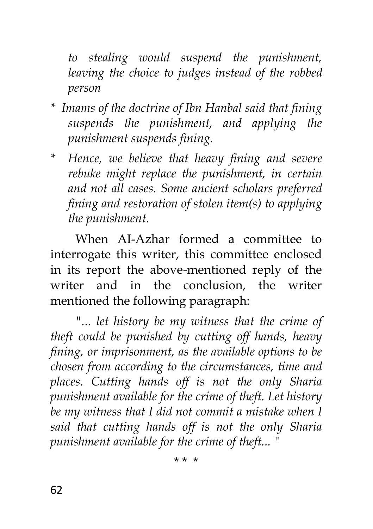*to stealing would suspend the punishment, leaving the choice to judges instead of the robbed person*

- *\* Imams of the doctrine of Ibn Hanbal said that fining suspends the punishment, and applying the punishment suspends fining.*
- *\* Hence, we believe that heavy fining and severe rebuke might replace the punishment, in certain and not all cases. Some ancient scholars preferred fining and restoration of stolen item(s) to applying the punishment.*

When AI-Azhar formed a committee to interrogate this writer, this committee enclosed in its report the above-mentioned reply of the writer and in the conclusion, the writer mentioned the following paragraph:

*"... let history be my witness that the crime of theft could be punished by cutting off hands, heavy fining, or imprisonment, as the available options to be chosen from according to the circumstances, time and places. Cutting hands off is not the only Sharia punishment available for the crime of theft. Let history be my witness that I did not commit a mistake when I said that cutting hands off is not the only Sharia punishment available for the crime of theft... "*

\* \* \*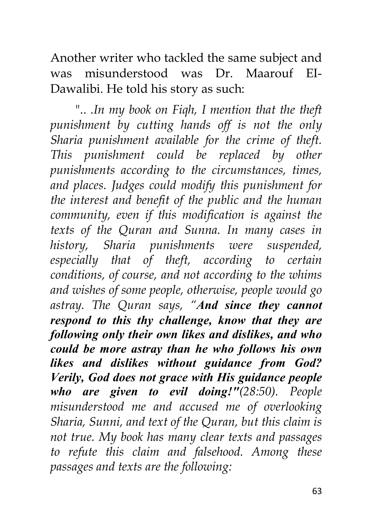Another writer who tackled the same subject and was misunderstood was Dr. Maarouf EI-Dawalibi. He told his story as such:

".. *.In my book on Fiqh, I mention that the theft punishment by cutting hands off is not the only Sharia punishment available for the crime of theft. This punishment could be replaced by other punishments according to the circumstances, times, and places. Judges could modify this punishment for the interest and benefit of the public and the human community, even if this modification is against the texts of the Quran and Sunna. In many cases in history, Sharia punishments were suspended, especially that of theft, according to certain conditions, of course, and not according to the whims and wishes of some people, otherwise, people would go astray. The Quran says, "And since they cannot respond to this thy challenge, know that they are following only their own likes and dislikes, and who could be more astray than he who follows his own likes and dislikes without guidance from God? Verily, God does not grace with His guidance people who are given to evil doing!"(28:50). People misunderstood me and accused me of overlooking Sharia, Sunni, and text of the Quran, but this claim is not true. My book has many clear texts and passages to refute this claim and falsehood. Among these passages and texts are the following:*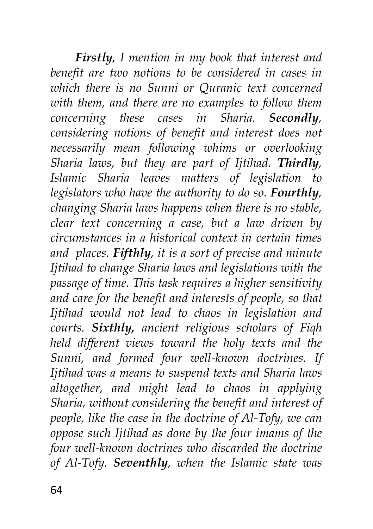*Firstly, I mention in my book that interest and benefit are two notions to be considered in cases in which there is no Sunni or Quranic text concerned with them, and there are no examples to follow them concerning these cases in Sharia. Secondly, considering notions of benefit and interest does not necessarily mean following whims or overlooking Sharia laws, but they are part of Ijtihad. Thirdly, Islamic Sharia leaves matters of legislation to legislators who have the authority to do so. Fourthly, changing Sharia laws happens when there is no stable, clear text concerning a case, but a law driven by circumstances in a historical context in certain times and places. Fifthly, it is a sort of precise and minute Ijtihad to change Sharia laws and legislations with the passage of time. This task requires a higher sensitivity and care for the benefit and interests of people, so that Ijtihad would not lead to chaos in legislation and courts. Sixthly, ancient religious scholars of Fiqh held different views toward the holy texts and the Sunni, and formed four well-known doctrines. If Ijtihad was a means to suspend texts and Sharia laws altogether, and might lead to chaos in applying Sharia, without considering the benefit and interest of people, like the case in the doctrine of Al-Tofy, we can oppose such Ijtihad as done by the four imams of the four well-known doctrines who discarded the doctrine of Al-Tofy. Seventhly, when the Islamic state was*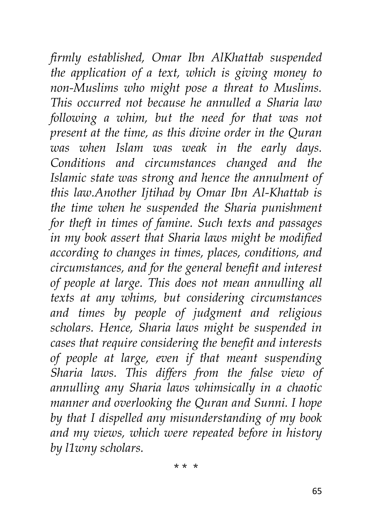*firmly established, Omar Ibn AlKhattab suspended the application of a text, which is giving money to non-Muslims who might pose a threat to Muslims. This occurred not because he annulled a Sharia law following a whim, but the need for that was not present at the time, as this divine order in the Quran was when Islam was weak in the early days. Conditions and circumstances changed and the Islamic state was strong and hence the annulment of this law.Another Ijtihad by Omar Ibn Al-Khattab is the time when he suspended the Sharia punishment for theft in times of famine. Such texts and passages in my book assert that Sharia laws might be modified according to changes in times, places, conditions, and circumstances, and for the general benefit and interest of people at large. This does not mean annulling all texts at any whims, but considering circumstances and times by people of judgment and religious scholars. Hence, Sharia laws might be suspended in cases that require considering the benefit and interests of people at large, even if that meant suspending Sharia laws. This differs from the false view of annulling any Sharia laws whimsically in a chaotic manner and overlooking the Quran and Sunni. I hope by that I dispelled any misunderstanding of my book and my views, which were repeated before in history by l1wny scholars.*

\* \* \*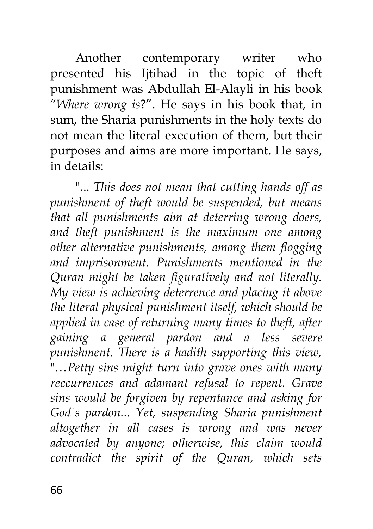Another contemporary writer who presented his Ijtihad in the topic of theft punishment was Abdullah El-Alayli in his book "*Where wrong is*?". He says in his book that, in sum, the Sharia punishments in the holy texts do not mean the literal execution of them, but their purposes and aims are more important. He says, in details:

"... *This does not mean that cutting hands off as punishment of theft would be suspended, but means that all punishments aim at deterring wrong doers, and theft punishment is the maximum one among other alternative punishments, among them flogging and imprisonment. Punishments mentioned in the Quran might be taken figuratively and not literally. My view is achieving deterrence and placing it above the literal physical punishment itself, which should be applied in case of returning many times to theft, after gaining a general pardon and a less severe punishment. There is a hadith supporting this view,*  "…*Petty sins might turn into grave ones with many reccurrences and adamant refusal to repent. Grave sins would be forgiven by repentance and asking for God's pardon... Yet, suspending Sharia punishment altogether in all cases is wrong and was never advocated by anyone; otherwise, this claim would contradict the spirit of the Quran, which sets*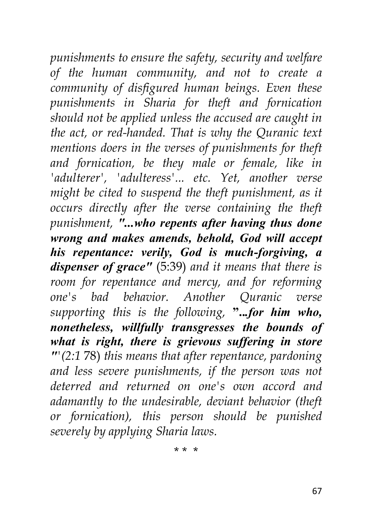*punishments to ensure the safety, security and welfare of the human community, and not to create a community of disfigured human beings. Even these punishments in Sharia for theft and fornication should not be applied unless the accused are caught in the act, or red-handed. That is why the Quranic text mentions doers in the verses of punishments for theft and fornication, be they male or female, like in 'adulterer', 'adulteress'... etc. Yet, another verse might be cited to suspend the theft punishment, as it occurs directly after the verse containing the theft punishment, "...who repents after having thus done wrong and makes amends, behold, God will accept his repentance: verily, God is much-forgiving, a dispenser of grace"* (5:39) *and it means that there is room for repentance and mercy, and for reforming one's bad behavior. Another Quranic verse supporting this is the following,* **"..***.for him who, nonetheless, willfully transgresses the bounds of what is right, there is grievous suffering in store "'(2:1* 78) *this means that after repentance, pardoning and less severe punishments, if the person was not deterred and returned on one's own accord and adamantly to the undesirable, deviant behavior (theft or fornication), this person should be punished severely by applying Sharia laws.*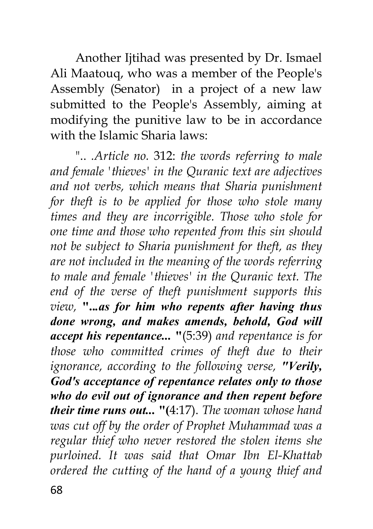Another Ijtihad was presented by Dr. Ismael Ali Maatouq, who was a member of the People's Assembly (Senator) in a project of a new law submitted to the People's Assembly, aiming at modifying the punitive law to be in accordance with the Islamic Sharia laws:

".. *.Article no.* 312: *the words referring to male and female 'thieves' in the Quranic text are adjectives and not verbs, which means that Sharia punishment for theft is to be applied for those who stole many times and they are incorrigible. Those who stole for one time and those who repented from this sin should not be subject to Sharia punishment for theft, as they are not included in the meaning of the words referring to male and female 'thieves' in the Quranic text. The end of the verse of theft punishment supports this view,* **"..***.as for him who repents after having thus done wrong, and makes amends, behold, God will accept his repentance...* **"**(5:39) *and repentance is for those who committed crimes of theft due to their ignorance, according to the following verse, "Verily, God's acceptance of repentance relates only to those who do evil out of ignorance and then repent before their time runs out...* **"(**4:17). *The woman whose hand was cut off by the order of Prophet Muhammad was a regular thief who never restored the stolen items she purloined. It was said that Omar Ibn El-Khattab ordered the cutting of the hand of a young thief and*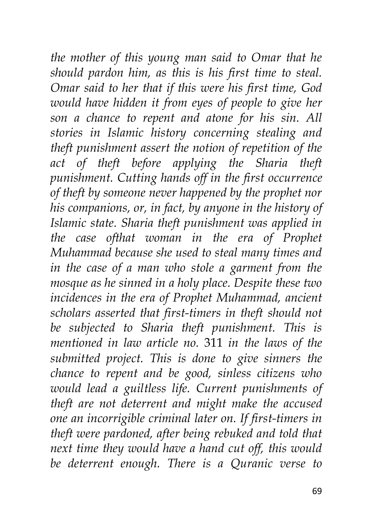*the mother of this young man said to Omar that he should pardon him, as this is his first time to steal. Omar said to her that if this were his first time, God would have hidden it from eyes of people to give her son a chance to repent and atone for his sin. All stories in Islamic history concerning stealing and theft punishment assert the notion of repetition of the act of theft before applying the Sharia theft punishment. Cutting hands off in the first occurrence of theft by someone never happened by the prophet nor his companions, or, in fact, by anyone in the history of Islamic state. Sharia theft punishment was applied in the case ofthat woman in the era of Prophet Muhammad because she used to steal many times and in the case of a man who stole a garment from the mosque as he sinned in a holy place. Despite these two incidences in the era of Prophet Muhammad, ancient scholars asserted that first-timers in theft should not be subjected to Sharia theft punishment. This is mentioned in law article no.* 311 *in the laws of the submitted project. This is done to give sinners the chance to repent and be good, sinless citizens who would lead a guiltless life. Current punishments of theft are not deterrent and might make the accused one an incorrigible criminal later on. If first-timers in theft were pardoned, after being rebuked and told that next time they would have a hand cut off, this would be deterrent enough. There is a Quranic verse to*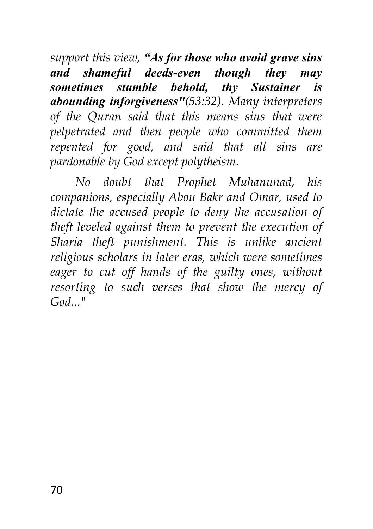*support this view, "As for those who avoid grave sins and shameful deeds-even though they may sometimes stumble behold, thy Sustainer is abounding inforgiveness"(53:32). Many interpreters of the Quran said that this means sins that were pelpetrated and then people who committed them repented for good, and said that all sins are pardonable by God except polytheism.*

*No doubt that Prophet Muhanunad, his companions, especially Abou Bakr and Omar, used to dictate the accused people to deny the accusation of theft leveled against them to prevent the execution of Sharia theft punishment. This is unlike ancient religious scholars in later eras, which were sometimes eager to cut off hands of the guilty ones, without resorting to such verses that show the mercy of God..."*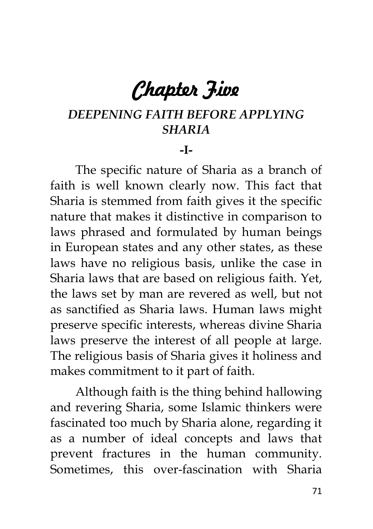# *Chapter Five*

# *DEEPENING FAITH BEFORE APPLYING SHARIA*

#### **-I-**

The specific nature of Sharia as a branch of faith is well known clearly now. This fact that Sharia is stemmed from faith gives it the specific nature that makes it distinctive in comparison to laws phrased and formulated by human beings in European states and any other states, as these laws have no religious basis, unlike the case in Sharia laws that are based on religious faith. Yet, the laws set by man are revered as well, but not as sanctified as Sharia laws. Human laws might preserve specific interests, whereas divine Sharia laws preserve the interest of all people at large. The religious basis of Sharia gives it holiness and makes commitment to it part of faith.

Although faith is the thing behind hallowing and revering Sharia, some Islamic thinkers were fascinated too much by Sharia alone, regarding it as a number of ideal concepts and laws that prevent fractures in the human community. Sometimes, this over-fascination with Sharia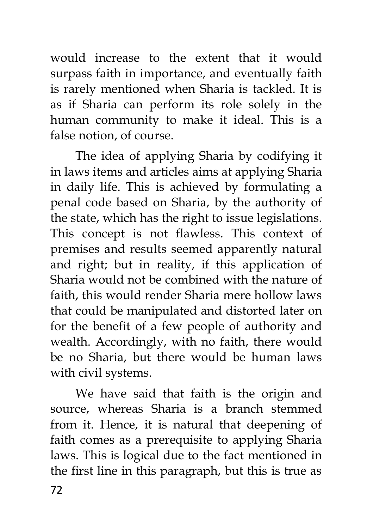would increase to the extent that it would surpass faith in importance, and eventually faith is rarely mentioned when Sharia is tackled. It is as if Sharia can perform its role solely in the human community to make it ideal. This is a false notion, of course.

The idea of applying Sharia by codifying it in laws items and articles aims at applying Sharia in daily life. This is achieved by formulating a penal code based on Sharia, by the authority of the state, which has the right to issue legislations. This concept is not flawless. This context of premises and results seemed apparently natural and right; but in reality, if this application of Sharia would not be combined with the nature of faith, this would render Sharia mere hollow laws that could be manipulated and distorted later on for the benefit of a few people of authority and wealth. Accordingly, with no faith, there would be no Sharia, but there would be human laws with civil systems.

72 We have said that faith is the origin and source, whereas Sharia is a branch stemmed from it. Hence, it is natural that deepening of faith comes as a prerequisite to applying Sharia laws. This is logical due to the fact mentioned in the first line in this paragraph, but this is true as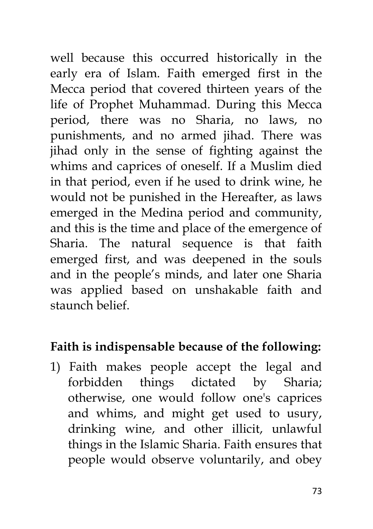well because this occurred historically in the early era of Islam. Faith emerged first in the Mecca period that covered thirteen years of the life of Prophet Muhammad. During this Mecca period, there was no Sharia, no laws, no punishments, and no armed jihad. There was jihad only in the sense of fighting against the whims and caprices of oneself. If a Muslim died in that period, even if he used to drink wine, he would not be punished in the Hereafter, as laws emerged in the Medina period and community, and this is the time and place of the emergence of Sharia. The natural sequence is that faith emerged first, and was deepened in the souls and in the people's minds, and later one Sharia was applied based on unshakable faith and staunch belief.

## **Faith is indispensable because of the following:**

1) Faith makes people accept the legal and forbidden things dictated by Sharia; otherwise, one would follow one's caprices and whims, and might get used to usury, drinking wine, and other illicit, unlawful things in the Islamic Sharia. Faith ensures that people would observe voluntarily, and obey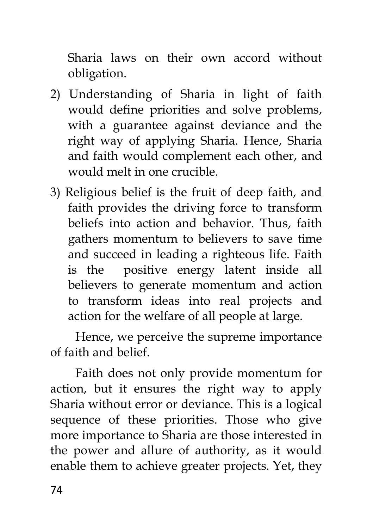Sharia laws on their own accord without obligation.

- 2) Understanding of Sharia in light of faith would define priorities and solve problems, with a guarantee against deviance and the right way of applying Sharia. Hence, Sharia and faith would complement each other, and would melt in one crucible.
- 3) Religious belief is the fruit of deep faith, and faith provides the driving force to transform beliefs into action and behavior. Thus, faith gathers momentum to believers to save time and succeed in leading a righteous life. Faith is the positive energy latent inside all believers to generate momentum and action to transform ideas into real projects and action for the welfare of all people at large.

Hence, we perceive the supreme importance of faith and belief.

Faith does not only provide momentum for action, but it ensures the right way to apply Sharia without error or deviance. This is a logical sequence of these priorities. Those who give more importance to Sharia are those interested in the power and allure of authority, as it would enable them to achieve greater projects. Yet, they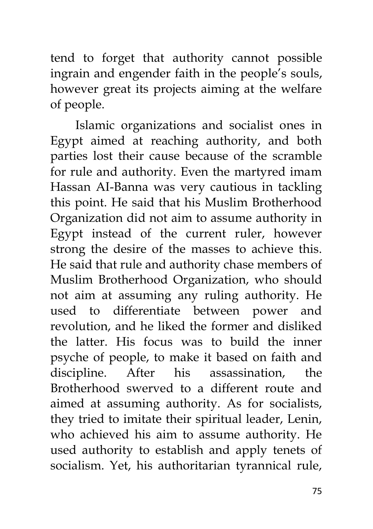tend to forget that authority cannot possible ingrain and engender faith in the people's souls, however great its projects aiming at the welfare of people.

Islamic organizations and socialist ones in Egypt aimed at reaching authority, and both parties lost their cause because of the scramble for rule and authority. Even the martyred imam Hassan AI-Banna was very cautious in tackling this point. He said that his Muslim Brotherhood Organization did not aim to assume authority in Egypt instead of the current ruler, however strong the desire of the masses to achieve this. He said that rule and authority chase members of Muslim Brotherhood Organization, who should not aim at assuming any ruling authority. He used to differentiate between power and revolution, and he liked the former and disliked the latter. His focus was to build the inner psyche of people, to make it based on faith and discipline. After his assassination, the Brotherhood swerved to a different route and aimed at assuming authority. As for socialists, they tried to imitate their spiritual leader, Lenin, who achieved his aim to assume authority. He used authority to establish and apply tenets of socialism. Yet, his authoritarian tyrannical rule,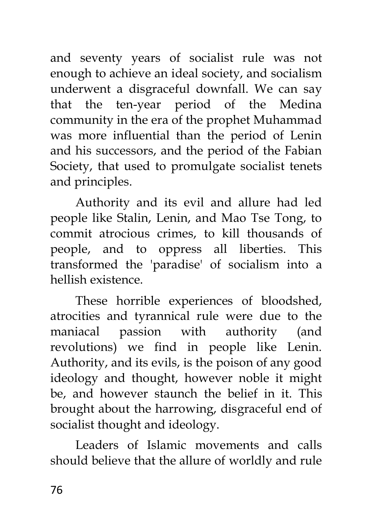and seventy years of socialist rule was not enough to achieve an ideal society, and socialism underwent a disgraceful downfall. We can say that the ten-year period of the Medina community in the era of the prophet Muhammad was more influential than the period of Lenin and his successors, and the period of the Fabian Society, that used to promulgate socialist tenets and principles.

Authority and its evil and allure had led people like Stalin, Lenin, and Mao Tse Tong, to commit atrocious crimes, to kill thousands of people, and to oppress all liberties. This transformed the 'paradise' of socialism into a hellish existence.

These horrible experiences of bloodshed, atrocities and tyrannical rule were due to the maniacal passion with authority (and revolutions) we find in people like Lenin. Authority, and its evils, is the poison of any good ideology and thought, however noble it might be, and however staunch the belief in it. This brought about the harrowing, disgraceful end of socialist thought and ideology.

Leaders of Islamic movements and calls should believe that the allure of worldly and rule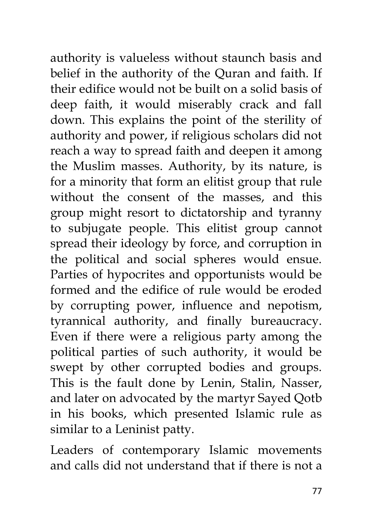authority is valueless without staunch basis and belief in the authority of the Quran and faith. If their edifice would not be built on a solid basis of deep faith, it would miserably crack and fall down. This explains the point of the sterility of authority and power, if religious scholars did not reach a way to spread faith and deepen it among the Muslim masses. Authority, by its nature, is for a minority that form an elitist group that rule without the consent of the masses, and this group might resort to dictatorship and tyranny to subjugate people. This elitist group cannot spread their ideology by force, and corruption in the political and social spheres would ensue. Parties of hypocrites and opportunists would be formed and the edifice of rule would be eroded by corrupting power, influence and nepotism, tyrannical authority, and finally bureaucracy. Even if there were a religious party among the political parties of such authority, it would be swept by other corrupted bodies and groups. This is the fault done by Lenin, Stalin, Nasser, and later on advocated by the martyr Sayed Qotb in his books, which presented Islamic rule as similar to a Leninist patty.

Leaders of contemporary Islamic movements and calls did not understand that if there is not a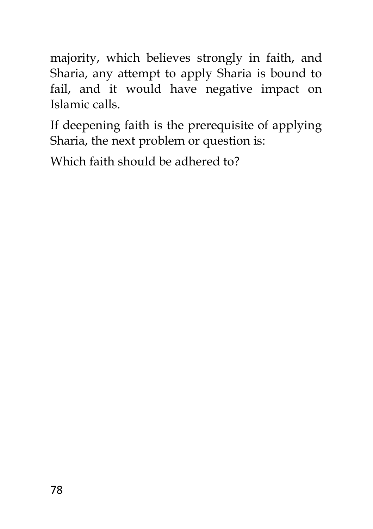majority, which believes strongly in faith, and Sharia, any attempt to apply Sharia is bound to fail, and it would have negative impact on Islamic calls.

If deepening faith is the prerequisite of applying Sharia, the next problem or question is:

Which faith should be adhered to?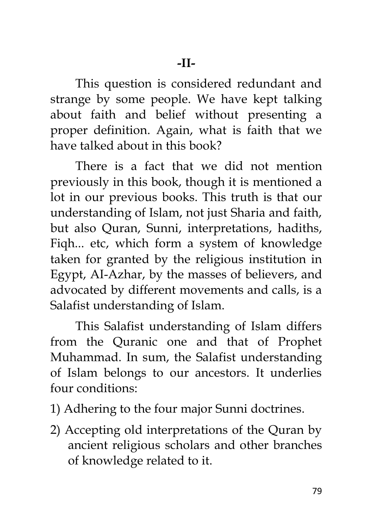This question is considered redundant and strange by some people. We have kept talking about faith and belief without presenting a proper definition. Again, what is faith that we have talked about in this book?

There is a fact that we did not mention previously in this book, though it is mentioned a lot in our previous books. This truth is that our understanding of Islam, not just Sharia and faith, but also Quran, Sunni, interpretations, hadiths, Fiqh... etc, which form a system of knowledge taken for granted by the religious institution in Egypt, AI-Azhar, by the masses of believers, and advocated by different movements and calls, is a Salafist understanding of Islam.

This Salafist understanding of Islam differs from the Quranic one and that of Prophet Muhammad. In sum, the Salafist understanding of Islam belongs to our ancestors. It underlies four conditions:

- 1) Adhering to the four major Sunni doctrines.
- 2) Accepting old interpretations of the Quran by ancient religious scholars and other branches of knowledge related to it.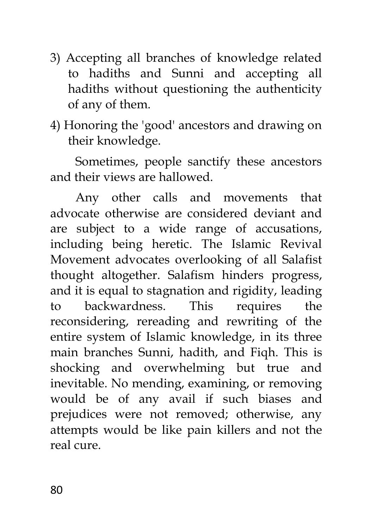- 3) Accepting all branches of knowledge related to hadiths and Sunni and accepting all hadiths without questioning the authenticity of any of them.
- 4) Honoring the 'good' ancestors and drawing on their knowledge.

Sometimes, people sanctify these ancestors and their views are hallowed.

Any other calls and movements that advocate otherwise are considered deviant and are subject to a wide range of accusations, including being heretic. The Islamic Revival Movement advocates overlooking of all Salafist thought altogether. Salafism hinders progress, and it is equal to stagnation and rigidity, leading to backwardness. This requires the reconsidering, rereading and rewriting of the entire system of Islamic knowledge, in its three main branches Sunni, hadith, and Fiqh. This is shocking and overwhelming but true and inevitable. No mending, examining, or removing would be of any avail if such biases and prejudices were not removed; otherwise, any attempts would be like pain killers and not the real cure.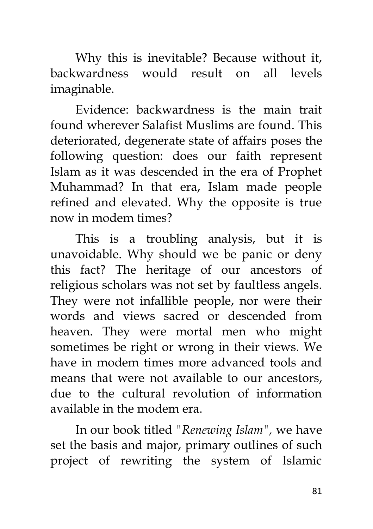Why this is inevitable? Because without it, backwardness would result on all levels imaginable.

Evidence: backwardness is the main trait found wherever Salafist Muslims are found. This deteriorated, degenerate state of affairs poses the following question: does our faith represent Islam as it was descended in the era of Prophet Muhammad? In that era, Islam made people refined and elevated. Why the opposite is true now in modem times?

This is a troubling analysis, but it is unavoidable. Why should we be panic or deny this fact? The heritage of our ancestors of religious scholars was not set by faultless angels. They were not infallible people, nor were their words and views sacred or descended from heaven. They were mortal men who might sometimes be right or wrong in their views. We have in modem times more advanced tools and means that were not available to our ancestors, due to the cultural revolution of information available in the modem era.

In our book titled *"Renewing Islam",* we have set the basis and major, primary outlines of such project of rewriting the system of Islamic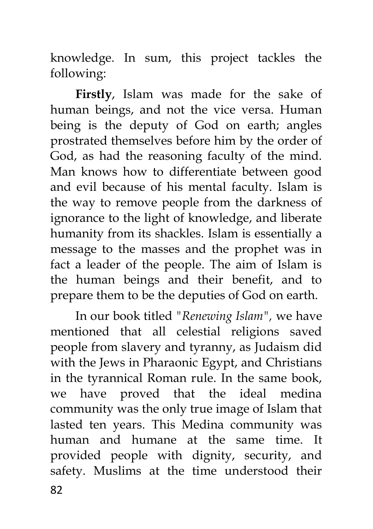knowledge. In sum, this project tackles the following:

**Firstly**, Islam was made for the sake of human beings, and not the vice versa. Human being is the deputy of God on earth; angles prostrated themselves before him by the order of God, as had the reasoning faculty of the mind. Man knows how to differentiate between good and evil because of his mental faculty. Islam is the way to remove people from the darkness of ignorance to the light of knowledge, and liberate humanity from its shackles. Islam is essentially a message to the masses and the prophet was in fact a leader of the people. The aim of Islam is the human beings and their benefit, and to prepare them to be the deputies of God on earth.

In our book titled *"Renewing Islam",* we have mentioned that all celestial religions saved people from slavery and tyranny, as Judaism did with the Jews in Pharaonic Egypt, and Christians in the tyrannical Roman rule. In the same book, we have proved that the ideal medina community was the only true image of Islam that lasted ten years. This Medina community was human and humane at the same time. It provided people with dignity, security, and safety. Muslims at the time understood their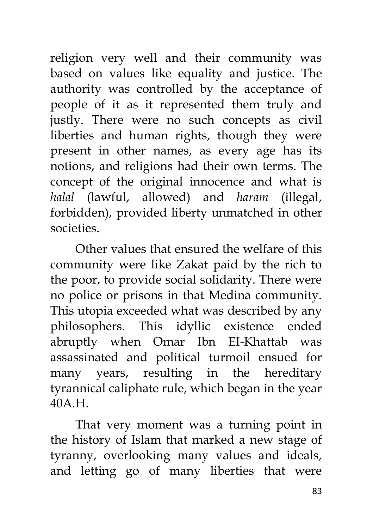religion very well and their community was based on values like equality and justice. The authority was controlled by the acceptance of people of it as it represented them truly and justly. There were no such concepts as civil liberties and human rights, though they were present in other names, as every age has its notions, and religions had their own terms. The concept of the original innocence and what is *halal* (lawful, allowed) and *haram* (illegal, forbidden), provided liberty unmatched in other societies.

Other values that ensured the welfare of this community were like Zakat paid by the rich to the poor, to provide social solidarity. There were no police or prisons in that Medina community. This utopia exceeded what was described by any philosophers. This idyllic existence ended abruptly when Omar Ibn EI-Khattab was assassinated and political turmoil ensued for many years, resulting in the hereditary tyrannical caliphate rule, which began in the year 40A.H.

That very moment was a turning point in the history of Islam that marked a new stage of tyranny, overlooking many values and ideals, and letting go of many liberties that were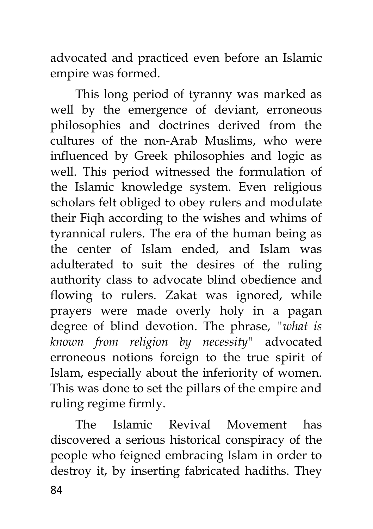advocated and practiced even before an Islamic empire was formed.

This long period of tyranny was marked as well by the emergence of deviant, erroneous philosophies and doctrines derived from the cultures of the non-Arab Muslims, who were influenced by Greek philosophies and logic as well. This period witnessed the formulation of the Islamic knowledge system. Even religious scholars felt obliged to obey rulers and modulate their Fiqh according to the wishes and whims of tyrannical rulers. The era of the human being as the center of Islam ended, and Islam was adulterated to suit the desires of the ruling authority class to advocate blind obedience and flowing to rulers. Zakat was ignored, while prayers were made overly holy in a pagan degree of blind devotion. The phrase, *"what is known from religion by necessity"* advocated erroneous notions foreign to the true spirit of Islam, especially about the inferiority of women. This was done to set the pillars of the empire and ruling regime firmly.

84 The Islamic Revival Movement has discovered a serious historical conspiracy of the people who feigned embracing Islam in order to destroy it, by inserting fabricated hadiths. They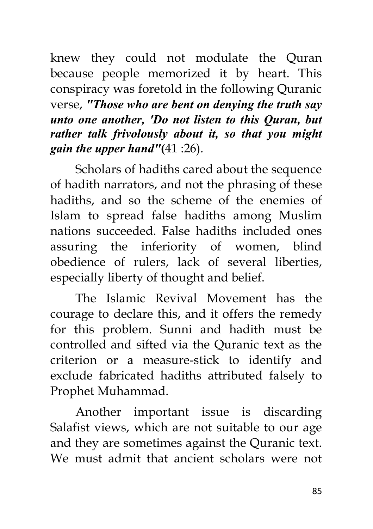knew they could not modulate the Quran because people memorized it by heart. This conspiracy was foretold in the following Quranic verse, *"Those who are bent on denying the truth say unto one another, 'Do not listen to this Quran, but rather talk frivolously about it, so that you might gain the upper hand"***(**41 :26).

Scholars of hadiths cared about the sequence of hadith narrators, and not the phrasing of these hadiths, and so the scheme of the enemies of Islam to spread false hadiths among Muslim nations succeeded. False hadiths included ones assuring the inferiority of women, blind obedience of rulers, lack of several liberties, especially liberty of thought and belief.

The Islamic Revival Movement has the courage to declare this, and it offers the remedy for this problem. Sunni and hadith must be controlled and sifted via the Quranic text as the criterion or a measure-stick to identify and exclude fabricated hadiths attributed falsely to Prophet Muhammad.

Another important issue is discarding Salafist views, which are not suitable to our age and they are sometimes against the Quranic text. We must admit that ancient scholars were not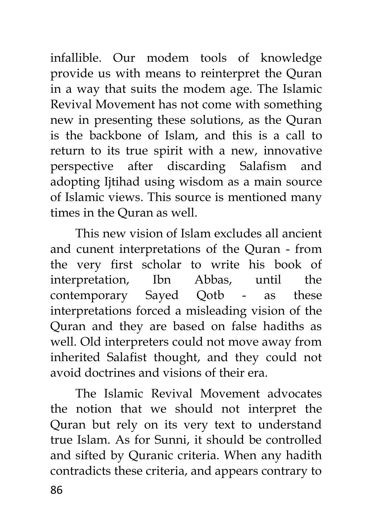infallible. Our modem tools of knowledge provide us with means to reinterpret the Quran in a way that suits the modem age. The Islamic Revival Movement has not come with something new in presenting these solutions, as the Quran is the backbone of Islam, and this is a call to return to its true spirit with a new, innovative perspective after discarding Salafism and adopting Ijtihad using wisdom as a main source of Islamic views. This source is mentioned many times in the Quran as well.

This new vision of Islam excludes all ancient and cunent interpretations of the Quran - from the very first scholar to write his book of interpretation, Ibn Abbas, until the contemporary Sayed Qotb - as these interpretations forced a misleading vision of the Quran and they are based on false hadiths as well. Old interpreters could not move away from inherited Salafist thought, and they could not avoid doctrines and visions of their era.

86 The Islamic Revival Movement advocates the notion that we should not interpret the Quran but rely on its very text to understand true Islam. As for Sunni, it should be controlled and sifted by Quranic criteria. When any hadith contradicts these criteria, and appears contrary to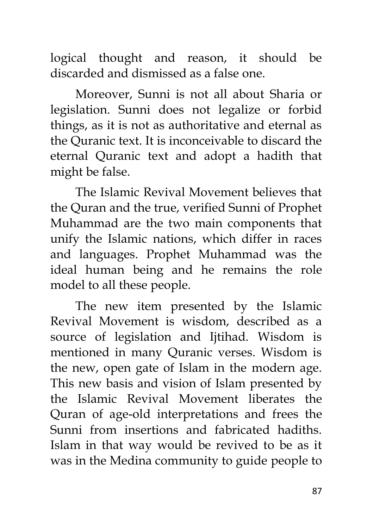logical thought and reason, it should be discarded and dismissed as a false one.

Moreover, Sunni is not all about Sharia or legislation. Sunni does not legalize or forbid things, as it is not as authoritative and eternal as the Quranic text. It is inconceivable to discard the eternal Quranic text and adopt a hadith that might be false.

The Islamic Revival Movement believes that the Quran and the true, verified Sunni of Prophet Muhammad are the two main components that unify the Islamic nations, which differ in races and languages. Prophet Muhammad was the ideal human being and he remains the role model to all these people.

The new item presented by the Islamic Revival Movement is wisdom, described as a source of legislation and Ijtihad. Wisdom is mentioned in many Quranic verses. Wisdom is the new, open gate of Islam in the modern age. This new basis and vision of Islam presented by the Islamic Revival Movement liberates the Quran of age-old interpretations and frees the Sunni from insertions and fabricated hadiths. Islam in that way would be revived to be as it was in the Medina community to guide people to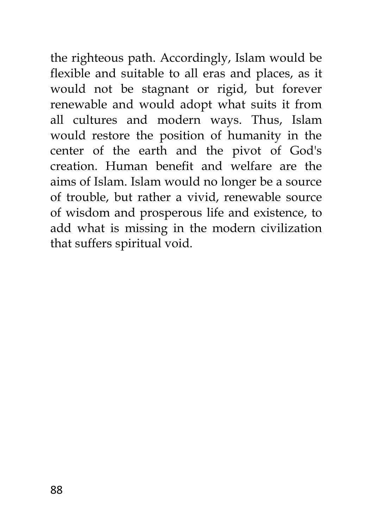the righteous path. Accordingly, Islam would be flexible and suitable to all eras and places, as it would not be stagnant or rigid, but forever renewable and would adopt what suits it from all cultures and modern ways. Thus, Islam would restore the position of humanity in the center of the earth and the pivot of God's creation. Human benefit and welfare are the aims of Islam. Islam would no longer be a source of trouble, but rather a vivid, renewable source of wisdom and prosperous life and existence, to add what is missing in the modern civilization that suffers spiritual void.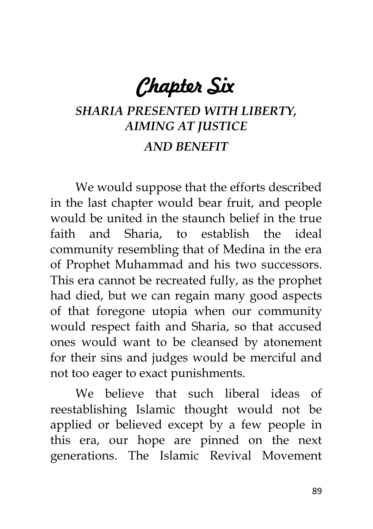*Chapter Six* 

## *SHARIA PRESENTED WITH LIBERTY, AIMING AT JUSTICE AND BENEFIT*

We would suppose that the efforts described in the last chapter would bear fruit, and people would be united in the staunch belief in the true faith and Sharia, to establish the ideal community resembling that of Medina in the era of Prophet Muhammad and his two successors. This era cannot be recreated fully, as the prophet had died, but we can regain many good aspects of that foregone utopia when our community would respect faith and Sharia, so that accused ones would want to be cleansed by atonement for their sins and judges would be merciful and not too eager to exact punishments.

We believe that such liberal ideas of reestablishing Islamic thought would not be applied or believed except by a few people in this era, our hope are pinned on the next generations. The Islamic Revival Movement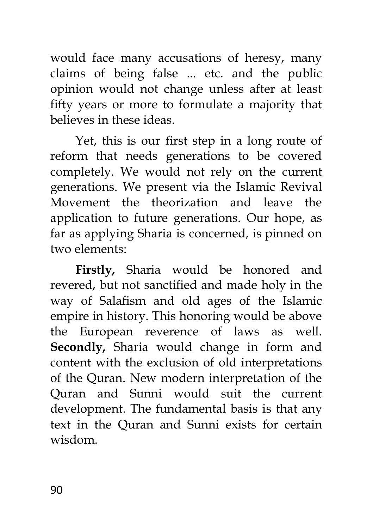would face many accusations of heresy, many claims of being false ... etc. and the public opinion would not change unless after at least fifty years or more to formulate a majority that believes in these ideas.

Yet, this is our first step in a long route of reform that needs generations to be covered completely. We would not rely on the current generations. We present via the Islamic Revival Movement the theorization and leave the application to future generations. Our hope, as far as applying Sharia is concerned, is pinned on two elements:

**Firstly,** Sharia would be honored and revered, but not sanctified and made holy in the way of Salafism and old ages of the Islamic empire in history. This honoring would be above the European reverence of laws as well. **Secondly,** Sharia would change in form and content with the exclusion of old interpretations of the Quran. New modern interpretation of the Quran and Sunni would suit the current development. The fundamental basis is that any text in the Quran and Sunni exists for certain wisdom.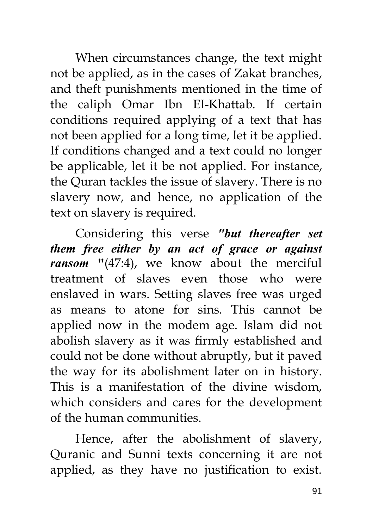When circumstances change, the text might not be applied, as in the cases of Zakat branches, and theft punishments mentioned in the time of the caliph Omar Ibn EI-Khattab. If certain conditions required applying of a text that has not been applied for a long time, let it be applied. If conditions changed and a text could no longer be applicable, let it be not applied. For instance, the Quran tackles the issue of slavery. There is no slavery now, and hence, no application of the text on slavery is required.

Considering this verse *"but thereafter set them free either by an act of grace or against ransom* **"**(47:4), we know about the merciful treatment of slaves even those who were enslaved in wars. Setting slaves free was urged as means to atone for sins. This cannot be applied now in the modem age. Islam did not abolish slavery as it was firmly established and could not be done without abruptly, but it paved the way for its abolishment later on in history. This is a manifestation of the divine wisdom, which considers and cares for the development of the human communities.

Hence, after the abolishment of slavery, Quranic and Sunni texts concerning it are not applied, as they have no justification to exist.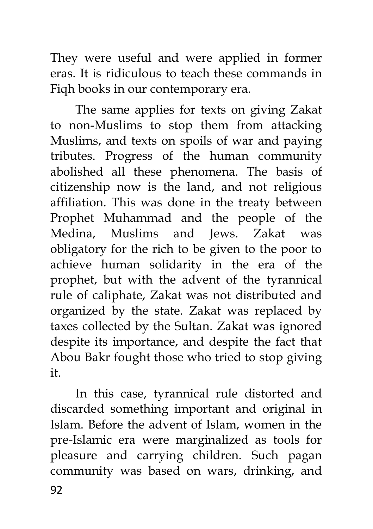They were useful and were applied in former eras. It is ridiculous to teach these commands in Fiqh books in our contemporary era.

The same applies for texts on giving Zakat to non-Muslims to stop them from attacking Muslims, and texts on spoils of war and paying tributes. Progress of the human community abolished all these phenomena. The basis of citizenship now is the land, and not religious affiliation. This was done in the treaty between Prophet Muhammad and the people of the Medina, Muslims and Jews. Zakat was obligatory for the rich to be given to the poor to achieve human solidarity in the era of the prophet, but with the advent of the tyrannical rule of caliphate, Zakat was not distributed and organized by the state. Zakat was replaced by taxes collected by the Sultan. Zakat was ignored despite its importance, and despite the fact that Abou Bakr fought those who tried to stop giving it.

92 In this case, tyrannical rule distorted and discarded something important and original in Islam. Before the advent of Islam, women in the pre-Islamic era were marginalized as tools for pleasure and carrying children. Such pagan community was based on wars, drinking, and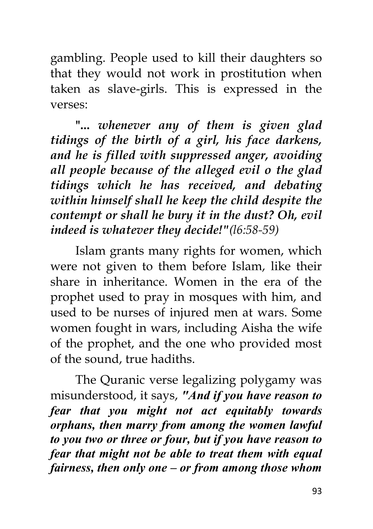gambling. People used to kill their daughters so that they would not work in prostitution when taken as slave-girls. This is expressed in the verses:

**"...** *whenever any of them is given glad tidings of the birth of a girl, his face darkens, and he is filled with suppressed anger, avoiding all people because of the alleged evil o the glad tidings which he has received, and debating within himself shall he keep the child despite the contempt or shall he bury it in the dust? Oh, evil indeed is whatever they decide!"(l6:58-59)*

Islam grants many rights for women, which were not given to them before Islam, like their share in inheritance. Women in the era of the prophet used to pray in mosques with him, and used to be nurses of injured men at wars. Some women fought in wars, including Aisha the wife of the prophet, and the one who provided most of the sound, true hadiths.

The Quranic verse legalizing polygamy was misunderstood, it says, *"And if you have reason to fear that you might not act equitably towards orphans, then marry from among the women lawful to you two or three or four, but if you have reason to fear that might not be able to treat them with equal fairness, then only one* **–** *or from among those whom*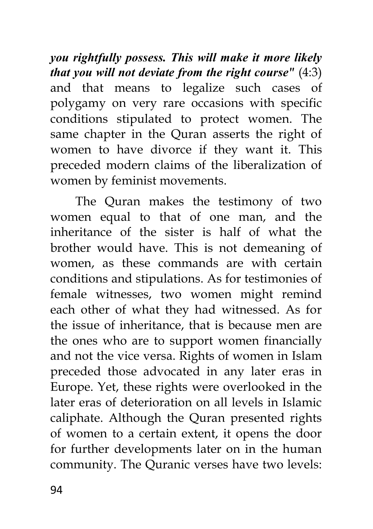*you rightfully possess. This will make it more likely that you will not deviate from the right course"* (4:3) and that means to legalize such cases of polygamy on very rare occasions with specific conditions stipulated to protect women. The same chapter in the Quran asserts the right of women to have divorce if they want it. This preceded modern claims of the liberalization of women by feminist movements.

The Quran makes the testimony of two women equal to that of one man, and the inheritance of the sister is half of what the brother would have. This is not demeaning of women, as these commands are with certain conditions and stipulations. As for testimonies of female witnesses, two women might remind each other of what they had witnessed. As for the issue of inheritance, that is because men are the ones who are to support women financially and not the vice versa. Rights of women in Islam preceded those advocated in any later eras in Europe. Yet, these rights were overlooked in the later eras of deterioration on all levels in Islamic caliphate. Although the Quran presented rights of women to a certain extent, it opens the door for further developments later on in the human community. The Quranic verses have two levels: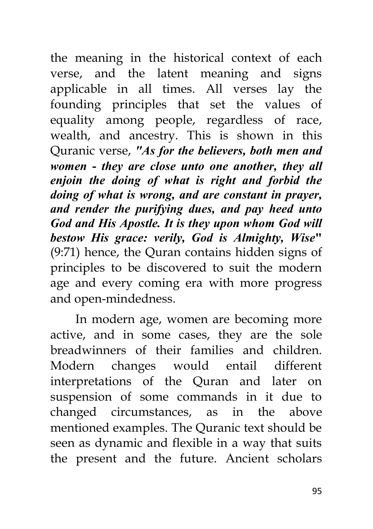the meaning in the historical context of each verse, and the latent meaning and signs applicable in all times. All verses lay the founding principles that set the values of equality among people, regardless of race, wealth, and ancestry. This is shown in this Quranic verse, *"As for the believers, both men and women* **-** *they are close unto one another, they all enjoin the doing of what is right and forbid the doing of what is wrong, and are constant in prayer, and render the purifying dues, and pay heed unto God and His Apostle. It is they upon whom God will bestow His grace: verily, God is Almighty, Wise***"** (9:71) hence, the Quran contains hidden signs of principles to be discovered to suit the modern age and every coming era with more progress and open-mindedness.

In modern age, women are becoming more active, and in some cases, they are the sole breadwinners of their families and children. Modern changes would entail different interpretations of the Quran and later on suspension of some commands in it due to changed circumstances, as in the above mentioned examples. The Quranic text should be seen as dynamic and flexible in a way that suits the present and the future. Ancient scholars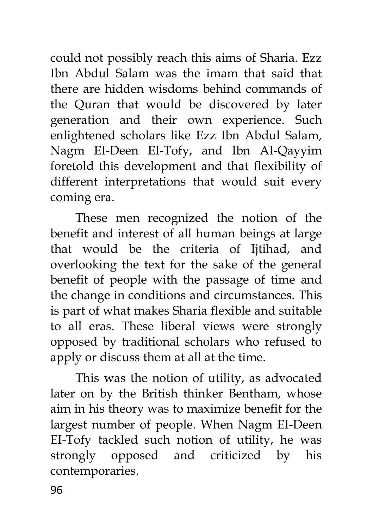could not possibly reach this aims of Sharia. Ezz Ibn Abdul Salam was the imam that said that there are hidden wisdoms behind commands of the Quran that would be discovered by later generation and their own experience. Such enlightened scholars like Ezz Ibn Abdul Salam, Nagm EI-Deen EI-Tofy, and Ibn AI-Qayyim foretold this development and that flexibility of different interpretations that would suit every coming era.

These men recognized the notion of the benefit and interest of all human beings at large that would be the criteria of Ijtihad, and overlooking the text for the sake of the general benefit of people with the passage of time and the change in conditions and circumstances. This is part of what makes Sharia flexible and suitable to all eras. These liberal views were strongly opposed by traditional scholars who refused to apply or discuss them at all at the time.

This was the notion of utility, as advocated later on by the British thinker Bentham, whose aim in his theory was to maximize benefit for the largest number of people. When Nagm EI-Deen EI-Tofy tackled such notion of utility, he was strongly opposed and criticized by his contemporaries.

96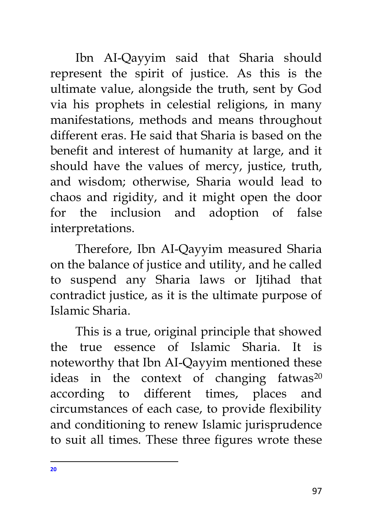Ibn AI-Qayyim said that Sharia should represent the spirit of justice. As this is the ultimate value, alongside the truth, sent by God via his prophets in celestial religions, in many manifestations, methods and means throughout different eras. He said that Sharia is based on the benefit and interest of humanity at large, and it should have the values of mercy, justice, truth, and wisdom; otherwise, Sharia would lead to chaos and rigidity, and it might open the door for the inclusion and adoption of false interpretations.

Therefore, Ibn AI-Qayyim measured Sharia on the balance of justice and utility, and he called to suspend any Sharia laws or Ijtihad that contradict justice, as it is the ultimate purpose of Islamic Sharia.

This is a true, original principle that showed the true essence of Islamic Sharia. It is noteworthy that Ibn AI-Qayyim mentioned these ideas in the context of changing fatwas $^{20}$ according to different times, places and circumstances of each case, to provide flexibility and conditioning to renew Islamic jurisprudence to suit all times. These three figures wrote these

 $\overline{a}$ **20**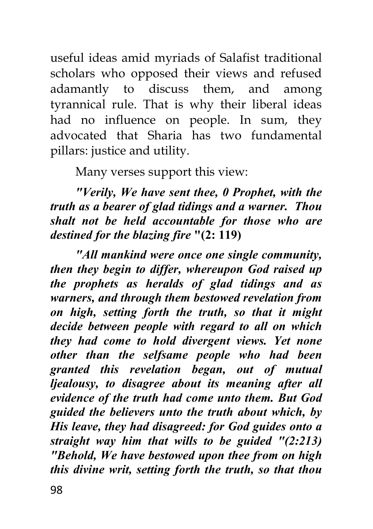useful ideas amid myriads of Salafist traditional scholars who opposed their views and refused adamantly to discuss them, and among tyrannical rule. That is why their liberal ideas had no influence on people. In sum, they advocated that Sharia has two fundamental pillars: justice and utility.

Many verses support this view:

*"Verily, We have sent thee, 0 Prophet, with the truth as a bearer of glad tidings and a warner. Thou shalt not be held accountable for those who are destined for the blazing fire* **"(2: 119)**

*"All mankind were once one single community, then they begin to differ, whereupon God raised up the prophets as heralds of glad tidings and as warners, and through them bestowed revelation from on high, setting forth the truth, so that it might decide between people with regard to all on which they had come to hold divergent views. Yet none other than the selfsame people who had been granted this revelation began, out of mutual ljealousy, to disagree about its meaning after all evidence of the truth had come unto them. But God guided the believers unto the truth about which, by His leave, they had disagreed: for God guides onto a straight way him that wills to be guided "(2:213) "Behold, We have bestowed upon thee from on high this divine writ, setting forth the truth, so that thou*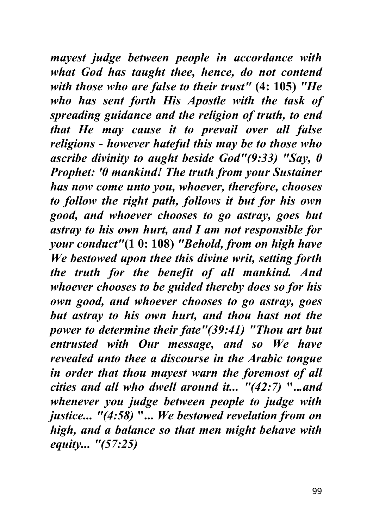*mayest judge between people in accordance with what God has taught thee, hence, do not contend with those who are false to their trust"* **(4: 105)** *"He who has sent forth His Apostle with the task of spreading guidance and the religion of truth, to end that He may cause it to prevail over all false religions* **-** *however hateful this may be to those who ascribe divinity to aught beside God"(9:33) "Say, 0 Prophet: '0 mankind! The truth from your Sustainer has now come unto you, whoever, therefore, chooses to follow the right path, follows it but for his own good, and whoever chooses to go astray, goes but astray to his own hurt, and I am not responsible for your conduct"***(1 0: 108)** *"Behold, from on high have We bestowed upon thee this divine writ, setting forth the truth for the benefit of all mankind. And whoever chooses to be guided thereby does so for his own good, and whoever chooses to go astray, goes but astray to his own hurt, and thou hast not the power to determine their fate"(39:41) "Thou art but entrusted with Our message, and so We have revealed unto thee a discourse in the Arabic tongue in order that thou mayest warn the foremost of all cities and all who dwell around it... "(42:7)* **"..***.and whenever you judge between people to judge with justice... "(4:58)* **"...** *We bestowed revelation from on high, and a balance so that men might behave with equity... "(57:25)*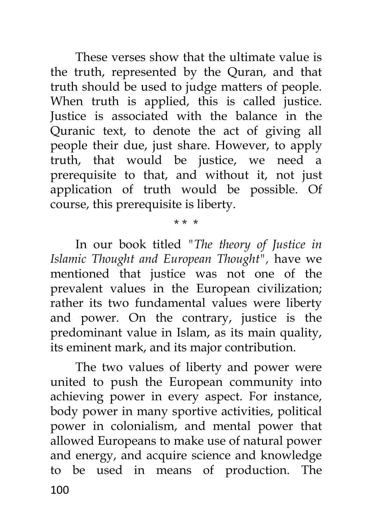These verses show that the ultimate value is the truth, represented by the Quran, and that truth should be used to judge matters of people. When truth is applied, this is called justice. Justice is associated with the balance in the Quranic text, to denote the act of giving all people their due, just share. However, to apply truth, that would be justice, we need a prerequisite to that, and without it, not just application of truth would be possible. Of course, this prerequisite is liberty.

In our book titled *"The theory of Justice in Islamic Thought and European Thought",* have we mentioned that justice was not one of the prevalent values in the European civilization; rather its two fundamental values were liberty and power. On the contrary, justice is the predominant value in Islam, as its main quality, its eminent mark, and its major contribution.

\* \* \*

100 The two values of liberty and power were united to push the European community into achieving power in every aspect. For instance, body power in many sportive activities, political power in colonialism, and mental power that allowed Europeans to make use of natural power and energy, and acquire science and knowledge to be used in means of production. The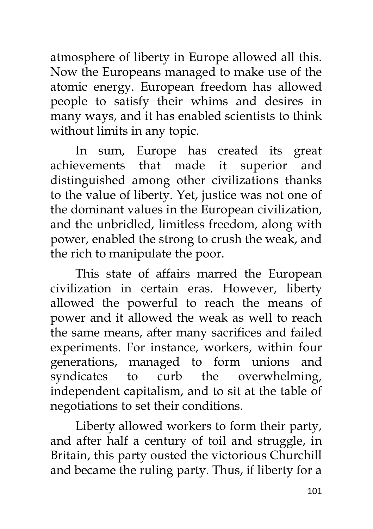atmosphere of liberty in Europe allowed all this. Now the Europeans managed to make use of the atomic energy. European freedom has allowed people to satisfy their whims and desires in many ways, and it has enabled scientists to think without limits in any topic.

In sum, Europe has created its great achievements that made it superior and distinguished among other civilizations thanks to the value of liberty. Yet, justice was not one of the dominant values in the European civilization, and the unbridled, limitless freedom, along with power, enabled the strong to crush the weak, and the rich to manipulate the poor.

This state of affairs marred the European civilization in certain eras. However, liberty allowed the powerful to reach the means of power and it allowed the weak as well to reach the same means, after many sacrifices and failed experiments. For instance, workers, within four generations, managed to form unions and syndicates to curb the overwhelming, independent capitalism, and to sit at the table of negotiations to set their conditions.

Liberty allowed workers to form their party, and after half a century of toil and struggle, in Britain, this party ousted the victorious Churchill and became the ruling party. Thus, if liberty for a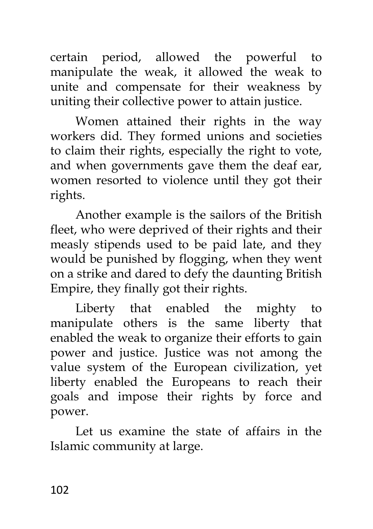certain period, allowed the powerful to manipulate the weak, it allowed the weak to unite and compensate for their weakness by uniting their collective power to attain justice.

Women attained their rights in the way workers did. They formed unions and societies to claim their rights, especially the right to vote, and when governments gave them the deaf ear, women resorted to violence until they got their rights.

Another example is the sailors of the British fleet, who were deprived of their rights and their measly stipends used to be paid late, and they would be punished by flogging, when they went on a strike and dared to defy the daunting British Empire, they finally got their rights.

Liberty that enabled the mighty to manipulate others is the same liberty that enabled the weak to organize their efforts to gain power and justice. Justice was not among the value system of the European civilization, yet liberty enabled the Europeans to reach their goals and impose their rights by force and power.

Let us examine the state of affairs in the Islamic community at large.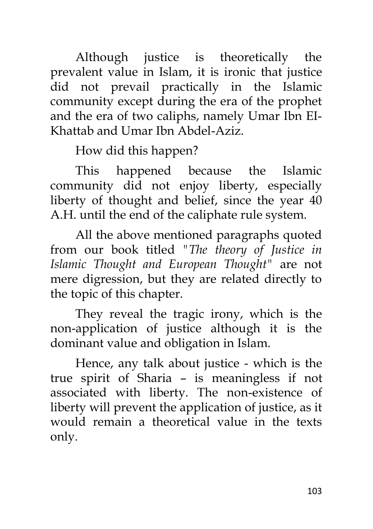Although justice is theoretically the prevalent value in Islam, it is ironic that justice did not prevail practically in the Islamic community except during the era of the prophet and the era of two caliphs, namely Umar Ibn EI-Khattab and Umar Ibn Abdel-Aziz.

How did this happen?

This happened because the Islamic community did not enjoy liberty, especially liberty of thought and belief, since the year 40 A.H. until the end of the caliphate rule system.

All the above mentioned paragraphs quoted from our book titled *"The theory of Justice in Islamic Thought and European Thought"* are not mere digression, but they are related directly to the topic of this chapter.

They reveal the tragic irony, which is the non-application of justice although it is the dominant value and obligation in Islam.

Hence, any talk about justice - which is the true spirit of Sharia – is meaningless if not associated with liberty. The non-existence of liberty will prevent the application of justice, as it would remain a theoretical value in the texts only.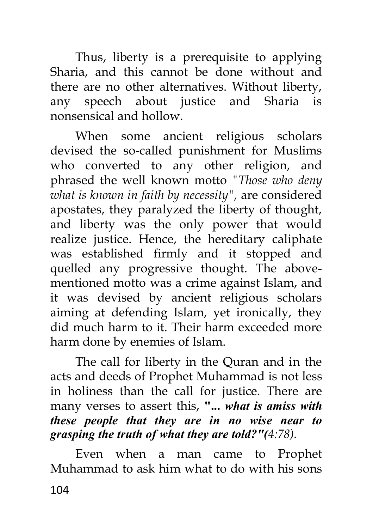Thus, liberty is a prerequisite to applying Sharia, and this cannot be done without and there are no other alternatives. Without liberty, any speech about justice and Sharia is nonsensical and hollow.

When some ancient religious scholars devised the so-called punishment for Muslims who converted to any other religion, and phrased the well known motto *"Those who deny what is known in faith by necessity",* are considered apostates, they paralyzed the liberty of thought, and liberty was the only power that would realize justice. Hence, the hereditary caliphate was established firmly and it stopped and quelled any progressive thought. The abovementioned motto was a crime against Islam, and it was devised by ancient religious scholars aiming at defending Islam, yet ironically, they did much harm to it. Their harm exceeded more harm done by enemies of Islam.

The call for liberty in the Quran and in the acts and deeds of Prophet Muhammad is not less in holiness than the call for justice. There are many verses to assert this, **"...** *what is amiss with these people that they are in no wise near to grasping the truth of what they are told?"(4:78).*

104 Even when a man came to Prophet Muhammad to ask him what to do with his sons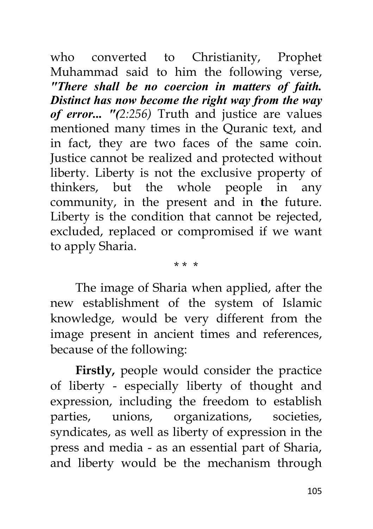who converted to Christianity, Prophet Muhammad said to him the following verse, *"There shall be no coercion in matters of faith. Distinct has now become the right way from the way of error... "(2:256)* Truth and justice are values mentioned many times in the Quranic text, and in fact, they are two faces of the same coin. Justice cannot be realized and protected without liberty. Liberty is not the exclusive property of thinkers, but the whole people in any community, in the present and in **t**he future. Liberty is the condition that cannot be rejected, excluded, replaced or compromised if we want to apply Sharia.

\* \* \*

The image of Sharia when applied, after the new establishment of the system of Islamic knowledge, would be very different from the image present in ancient times and references, because of the following:

**Firstly,** people would consider the practice of liberty - especially liberty of thought and expression, including the freedom to establish parties, unions, organizations, societies, syndicates, as well as liberty of expression in the press and media - as an essential part of Sharia, and liberty would be the mechanism through